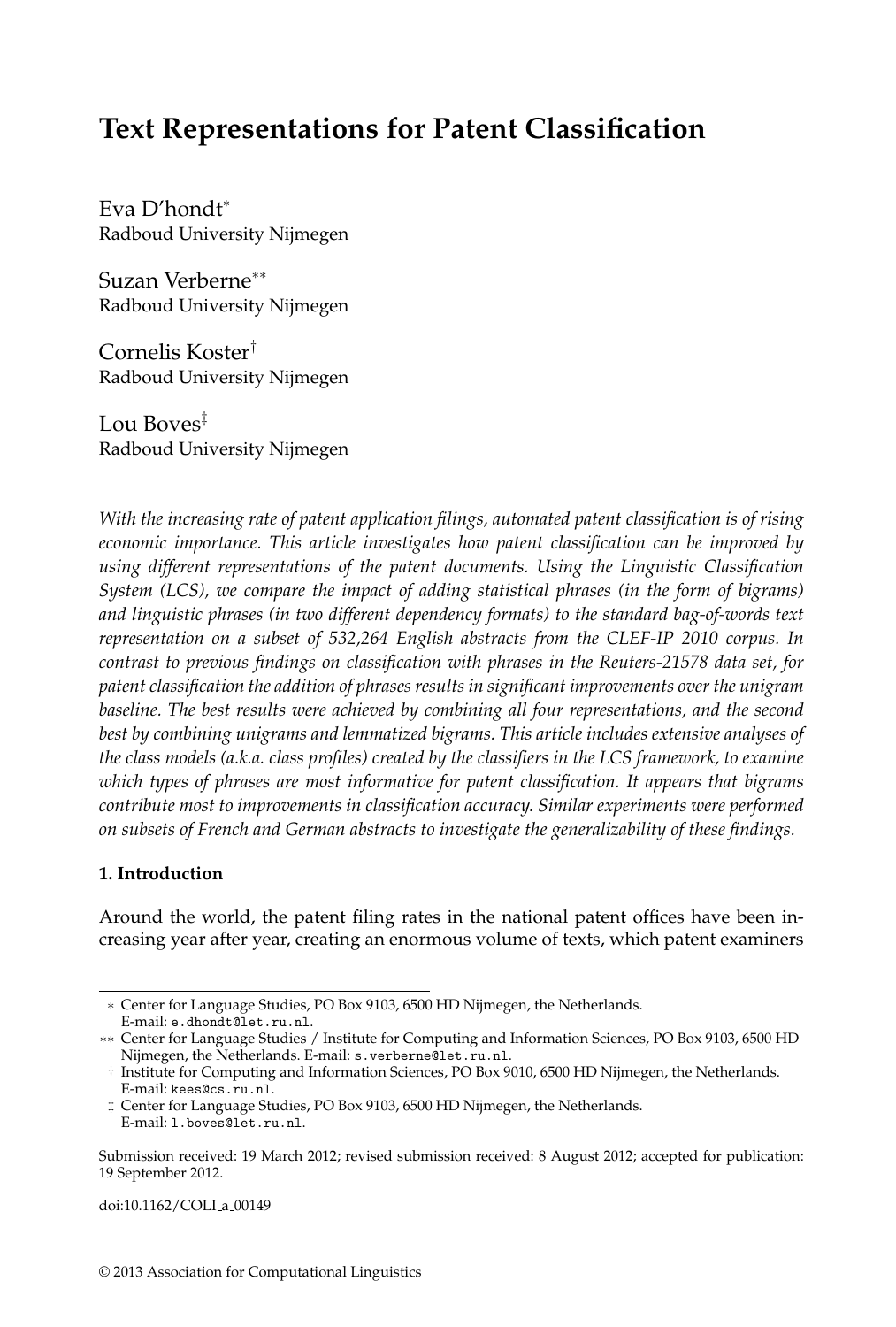# **Text Representations for Patent Classification**

Eva D'hondt<sup>∗</sup> Radboud University Nijmegen

Suzan Verberne∗∗ Radboud University Nijmegen

Cornelis Koster† Radboud University Nijmegen

Lou Boves‡ Radboud University Nijmegen

*With the increasing rate of patent application filings, automated patent classification is of rising economic importance. This article investigates how patent classification can be improved by using different representations of the patent documents. Using the Linguistic Classification System (LCS), we compare the impact of adding statistical phrases (in the form of bigrams) and linguistic phrases (in two different dependency formats) to the standard bag-of-words text representation on a subset of 532,264 English abstracts from the CLEF-IP 2010 corpus. In contrast to previous findings on classification with phrases in the Reuters-21578 data set, for patent classification the addition of phrases results in significant improvements over the unigram baseline. The best results were achieved by combining all four representations, and the second best by combining unigrams and lemmatized bigrams. This article includes extensive analyses of the class models (a.k.a. class profiles) created by the classifiers in the LCS framework, to examine which types of phrases are most informative for patent classification. It appears that bigrams contribute most to improvements in classification accuracy. Similar experiments were performed on subsets of French and German abstracts to investigate the generalizability of these findings.*

## **1. Introduction**

Around the world, the patent filing rates in the national patent offices have been increasing year after year, creating an enormous volume of texts, which patent examiners

doi:10.1162/COLI a 00149

<sup>∗</sup> Center for Language Studies, PO Box 9103, 6500 HD Nijmegen, the Netherlands. E-mail: e.dhondt@let.ru.nl.

<sup>∗∗</sup> Center for Language Studies / Institute for Computing and Information Sciences, PO Box 9103, 6500 HD Nijmegen, the Netherlands. E-mail: s.verberne@let.ru.nl.

<sup>†</sup> Institute for Computing and Information Sciences, PO Box 9010, 6500 HD Nijmegen, the Netherlands. E-mail: kees@cs.ru.nl.

<sup>‡</sup> Center for Language Studies, PO Box 9103, 6500 HD Nijmegen, the Netherlands. E-mail: l.boves@let.ru.nl.

Submission received: 19 March 2012; revised submission received: 8 August 2012; accepted for publication: 19 September 2012.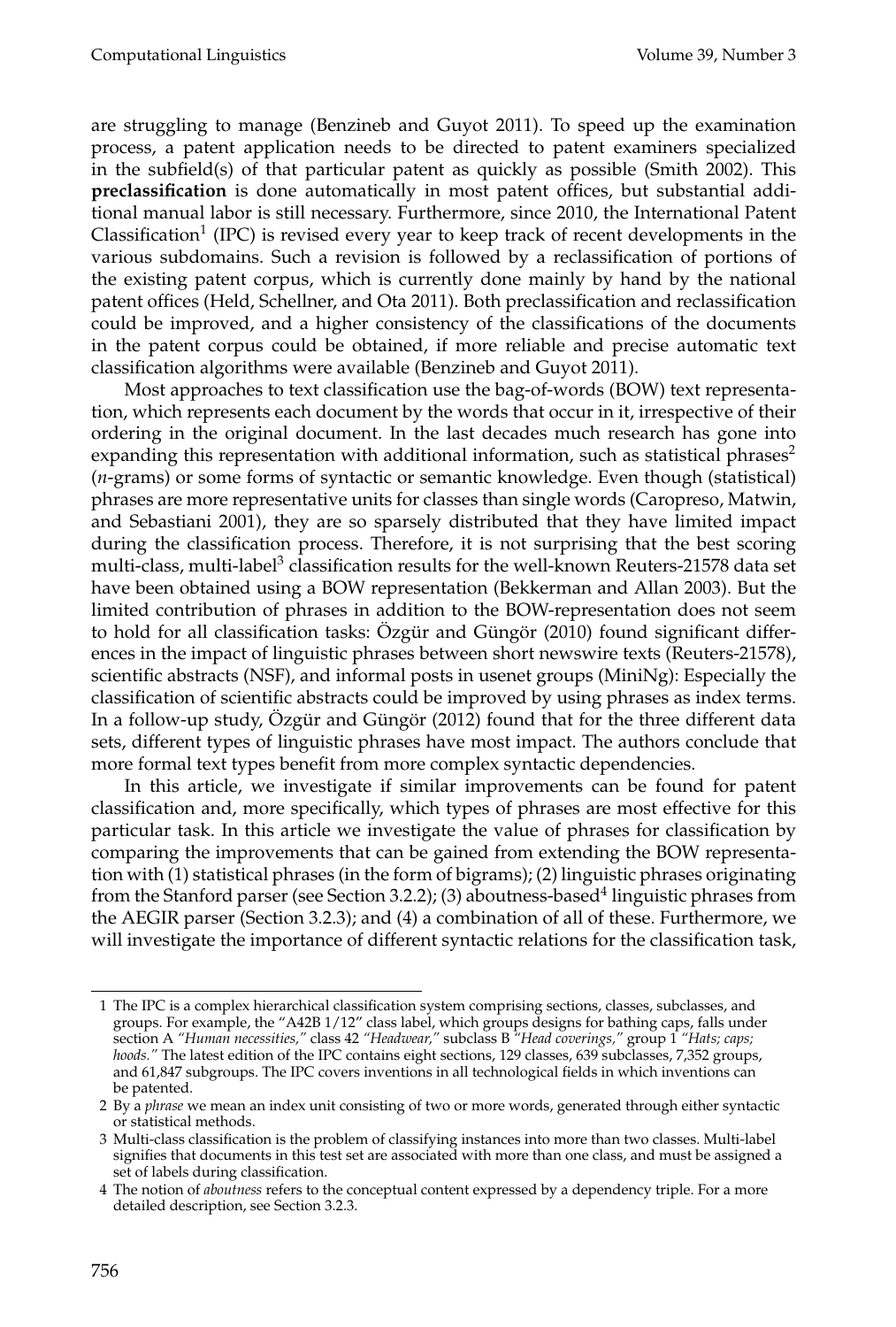are struggling to manage (Benzineb and Guyot 2011). To speed up the examination process, a patent application needs to be directed to patent examiners specialized in the subfield(s) of that particular patent as quickly as possible (Smith 2002). This **preclassification** is done automatically in most patent offices, but substantial additional manual labor is still necessary. Furthermore, since 2010, the International Patent Classification<sup>1</sup> (IPC) is revised every year to keep track of recent developments in the various subdomains. Such a revision is followed by a reclassification of portions of the existing patent corpus, which is currently done mainly by hand by the national patent offices (Held, Schellner, and Ota 2011). Both preclassification and reclassification could be improved, and a higher consistency of the classifications of the documents in the patent corpus could be obtained, if more reliable and precise automatic text classification algorithms were available (Benzineb and Guyot 2011).

Most approaches to text classification use the bag-of-words (BOW) text representation, which represents each document by the words that occur in it, irrespective of their ordering in the original document. In the last decades much research has gone into expanding this representation with additional information, such as statistical phrases<sup>2</sup> (*n*-grams) or some forms of syntactic or semantic knowledge. Even though (statistical) phrases are more representative units for classes than single words (Caropreso, Matwin, and Sebastiani 2001), they are so sparsely distributed that they have limited impact during the classification process. Therefore, it is not surprising that the best scoring multi-class, multi-label<sup>3</sup> classification results for the well-known Reuters-21578 data set have been obtained using a BOW representation (Bekkerman and Allan 2003). But the limited contribution of phrases in addition to the BOW-representation does not seem to hold for all classification tasks: Özgür and Güngör (2010) found significant differences in the impact of linguistic phrases between short newswire texts (Reuters-21578), scientific abstracts (NSF), and informal posts in usenet groups (MiniNg): Especially the classification of scientific abstracts could be improved by using phrases as index terms. In a follow-up study, Özgür and Güngör  $(2012)$  found that for the three different data sets, different types of linguistic phrases have most impact. The authors conclude that more formal text types benefit from more complex syntactic dependencies.

In this article, we investigate if similar improvements can be found for patent classification and, more specifically, which types of phrases are most effective for this particular task. In this article we investigate the value of phrases for classification by comparing the improvements that can be gained from extending the BOW representation with (1) statistical phrases (in the form of bigrams); (2) linguistic phrases originating from the Stanford parser (see Section 3.2.2); (3) aboutness-based<sup>4</sup> linguistic phrases from the AEGIR parser (Section 3.2.3); and (4) a combination of all of these. Furthermore, we will investigate the importance of different syntactic relations for the classification task,

<sup>1</sup> The IPC is a complex hierarchical classification system comprising sections, classes, subclasses, and groups. For example, the "A42B 1/12" class label, which groups designs for bathing caps, falls under section A *"Human necessities,"* class 42 *"Headwear,"* subclass B *"Head coverings,"* group 1 *"Hats; caps; hoods."* The latest edition of the IPC contains eight sections, 129 classes, 639 subclasses, 7,352 groups, and 61,847 subgroups. The IPC covers inventions in all technological fields in which inventions can be patented.

<sup>2</sup> By a *phrase* we mean an index unit consisting of two or more words, generated through either syntactic or statistical methods.

<sup>3</sup> Multi-class classification is the problem of classifying instances into more than two classes. Multi-label signifies that documents in this test set are associated with more than one class, and must be assigned a set of labels during classification.

<sup>4</sup> The notion of *aboutness* refers to the conceptual content expressed by a dependency triple. For a more detailed description, see Section 3.2.3.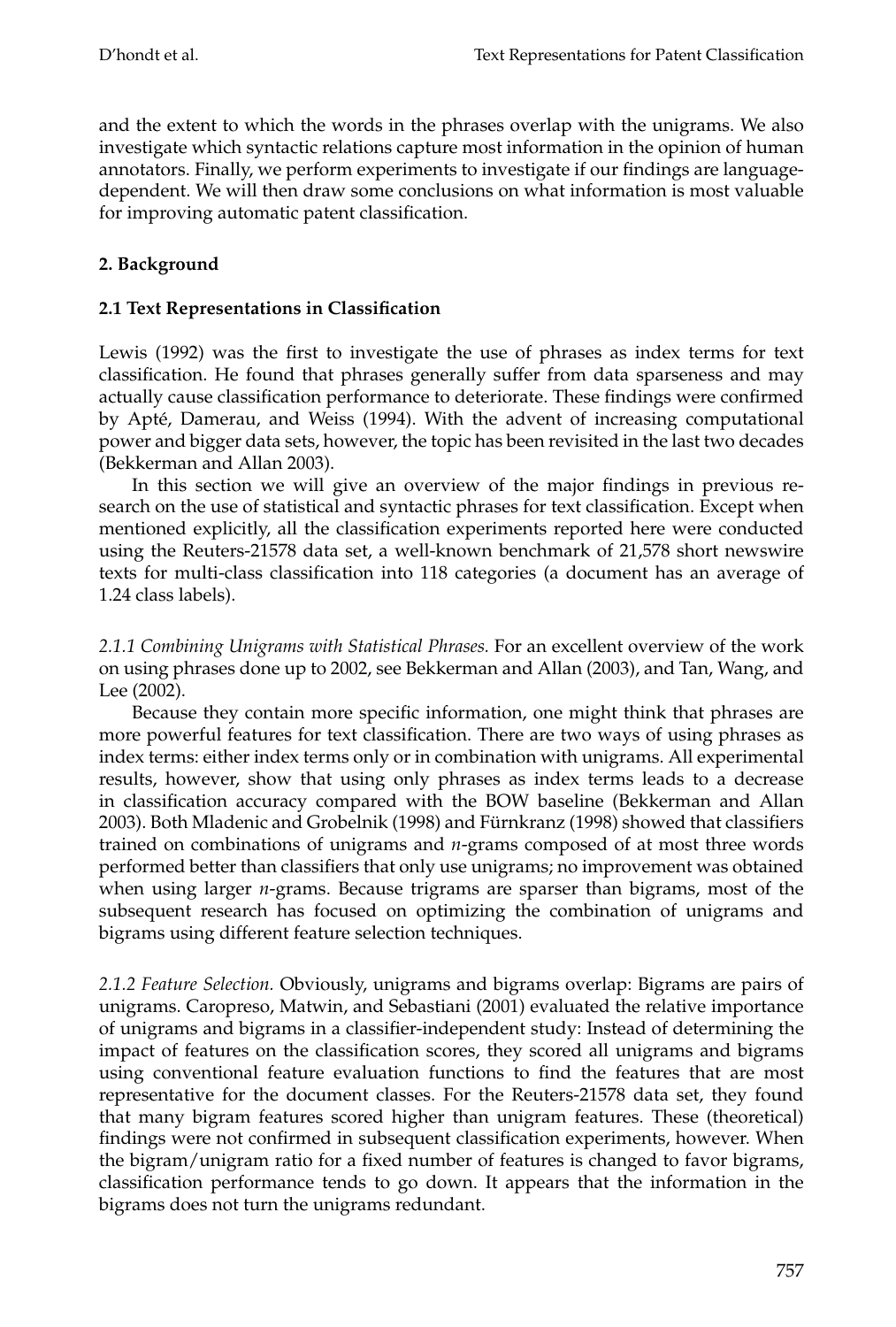and the extent to which the words in the phrases overlap with the unigrams. We also investigate which syntactic relations capture most information in the opinion of human annotators. Finally, we perform experiments to investigate if our findings are languagedependent. We will then draw some conclusions on what information is most valuable for improving automatic patent classification.

## **2. Background**

## **2.1 Text Representations in Classification**

Lewis (1992) was the first to investigate the use of phrases as index terms for text classification. He found that phrases generally suffer from data sparseness and may actually cause classification performance to deteriorate. These findings were confirmed by Apté, Damerau, and Weiss (1994). With the advent of increasing computational power and bigger data sets, however, the topic has been revisited in the last two decades (Bekkerman and Allan 2003).

In this section we will give an overview of the major findings in previous research on the use of statistical and syntactic phrases for text classification. Except when mentioned explicitly, all the classification experiments reported here were conducted using the Reuters-21578 data set, a well-known benchmark of 21,578 short newswire texts for multi-class classification into 118 categories (a document has an average of 1.24 class labels).

*2.1.1 Combining Unigrams with Statistical Phrases.* For an excellent overview of the work on using phrases done up to 2002, see Bekkerman and Allan (2003), and Tan, Wang, and Lee (2002).

Because they contain more specific information, one might think that phrases are more powerful features for text classification. There are two ways of using phrases as index terms: either index terms only or in combination with unigrams. All experimental results, however, show that using only phrases as index terms leads to a decrease in classification accuracy compared with the BOW baseline (Bekkerman and Allan 2003). Both Mladenic and Grobelnik (1998) and Fürnkranz (1998) showed that classifiers trained on combinations of unigrams and *n*-grams composed of at most three words performed better than classifiers that only use unigrams; no improvement was obtained when using larger *n*-grams. Because trigrams are sparser than bigrams, most of the subsequent research has focused on optimizing the combination of unigrams and bigrams using different feature selection techniques.

*2.1.2 Feature Selection.* Obviously, unigrams and bigrams overlap: Bigrams are pairs of unigrams. Caropreso, Matwin, and Sebastiani (2001) evaluated the relative importance of unigrams and bigrams in a classifier-independent study: Instead of determining the impact of features on the classification scores, they scored all unigrams and bigrams using conventional feature evaluation functions to find the features that are most representative for the document classes. For the Reuters-21578 data set, they found that many bigram features scored higher than unigram features. These (theoretical) findings were not confirmed in subsequent classification experiments, however. When the bigram/unigram ratio for a fixed number of features is changed to favor bigrams, classification performance tends to go down. It appears that the information in the bigrams does not turn the unigrams redundant.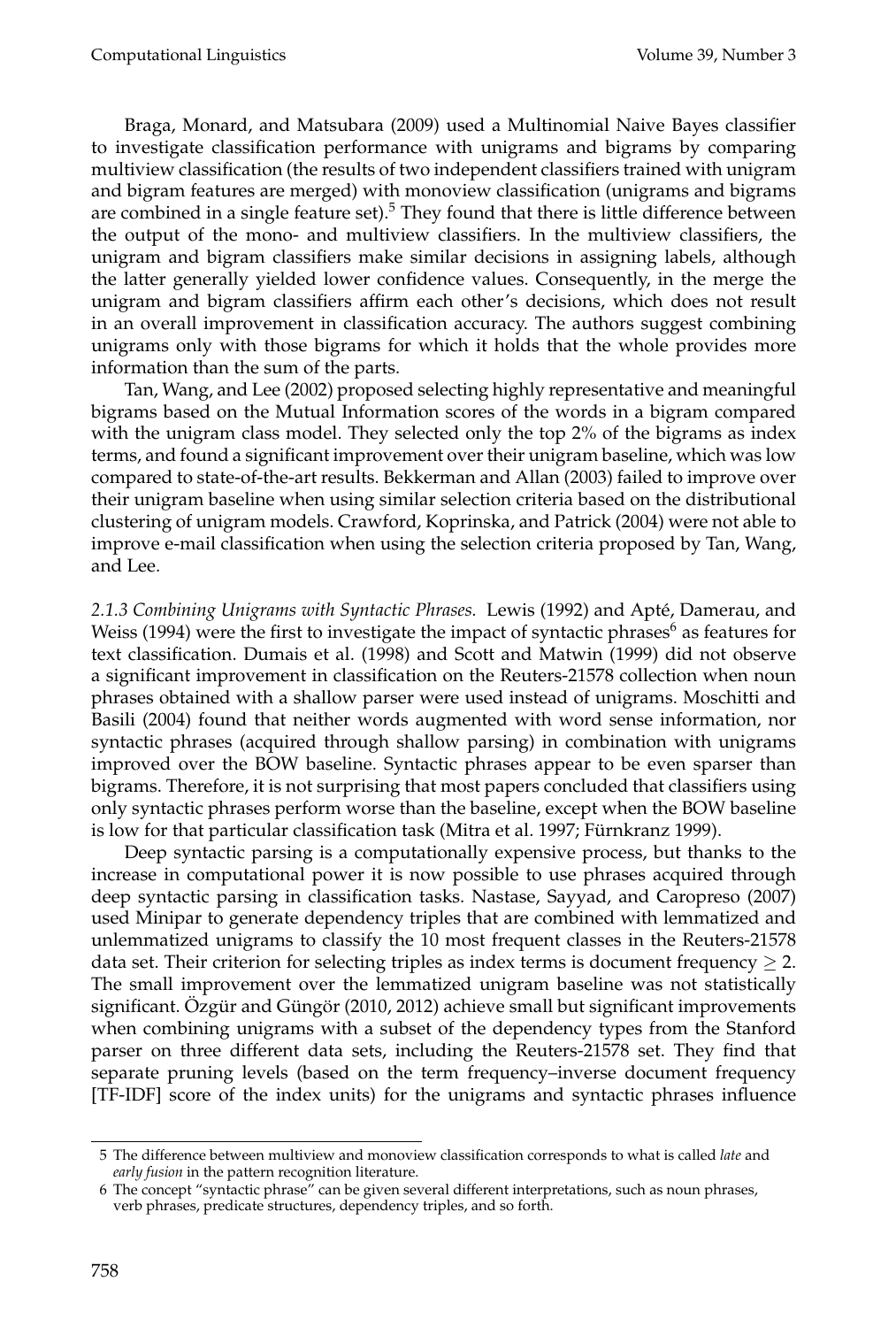Braga, Monard, and Matsubara (2009) used a Multinomial Naive Bayes classifier to investigate classification performance with unigrams and bigrams by comparing multiview classification (the results of two independent classifiers trained with unigram and bigram features are merged) with monoview classification (unigrams and bigrams are combined in a single feature set).<sup>5</sup> They found that there is little difference between the output of the mono- and multiview classifiers. In the multiview classifiers, the unigram and bigram classifiers make similar decisions in assigning labels, although the latter generally yielded lower confidence values. Consequently, in the merge the unigram and bigram classifiers affirm each other's decisions, which does not result in an overall improvement in classification accuracy. The authors suggest combining unigrams only with those bigrams for which it holds that the whole provides more information than the sum of the parts.

Tan, Wang, and Lee (2002) proposed selecting highly representative and meaningful bigrams based on the Mutual Information scores of the words in a bigram compared with the unigram class model. They selected only the top 2% of the bigrams as index terms, and found a significant improvement over their unigram baseline, which was low compared to state-of-the-art results. Bekkerman and Allan (2003) failed to improve over their unigram baseline when using similar selection criteria based on the distributional clustering of unigram models. Crawford, Koprinska, and Patrick (2004) were not able to improve e-mail classification when using the selection criteria proposed by Tan, Wang, and Lee.

*2.1.3 Combining Unigrams with Syntactic Phrases.* Lewis (1992) and Apte, Damerau, and ´ Weiss (1994) were the first to investigate the impact of syntactic phrases<sup>6</sup> as features for text classification. Dumais et al. (1998) and Scott and Matwin (1999) did not observe a significant improvement in classification on the Reuters-21578 collection when noun phrases obtained with a shallow parser were used instead of unigrams. Moschitti and Basili (2004) found that neither words augmented with word sense information, nor syntactic phrases (acquired through shallow parsing) in combination with unigrams improved over the BOW baseline. Syntactic phrases appear to be even sparser than bigrams. Therefore, it is not surprising that most papers concluded that classifiers using only syntactic phrases perform worse than the baseline, except when the BOW baseline is low for that particular classification task (Mitra et al. 1997; Fürnkranz 1999).

Deep syntactic parsing is a computationally expensive process, but thanks to the increase in computational power it is now possible to use phrases acquired through deep syntactic parsing in classification tasks. Nastase, Sayyad, and Caropreso (2007) used Minipar to generate dependency triples that are combined with lemmatized and unlemmatized unigrams to classify the 10 most frequent classes in the Reuters-21578 data set. Their criterion for selecting triples as index terms is document frequency  $\geq 2$ . The small improvement over the lemmatized unigram baseline was not statistically significant. Özgür and Güngör (2010, 2012) achieve small but significant improvements when combining unigrams with a subset of the dependency types from the Stanford parser on three different data sets, including the Reuters-21578 set. They find that separate pruning levels (based on the term frequency–inverse document frequency [TF-IDF] score of the index units) for the unigrams and syntactic phrases influence

<sup>5</sup> The difference between multiview and monoview classification corresponds to what is called *late* and *early fusion* in the pattern recognition literature.

<sup>6</sup> The concept "syntactic phrase" can be given several different interpretations, such as noun phrases, verb phrases, predicate structures, dependency triples, and so forth.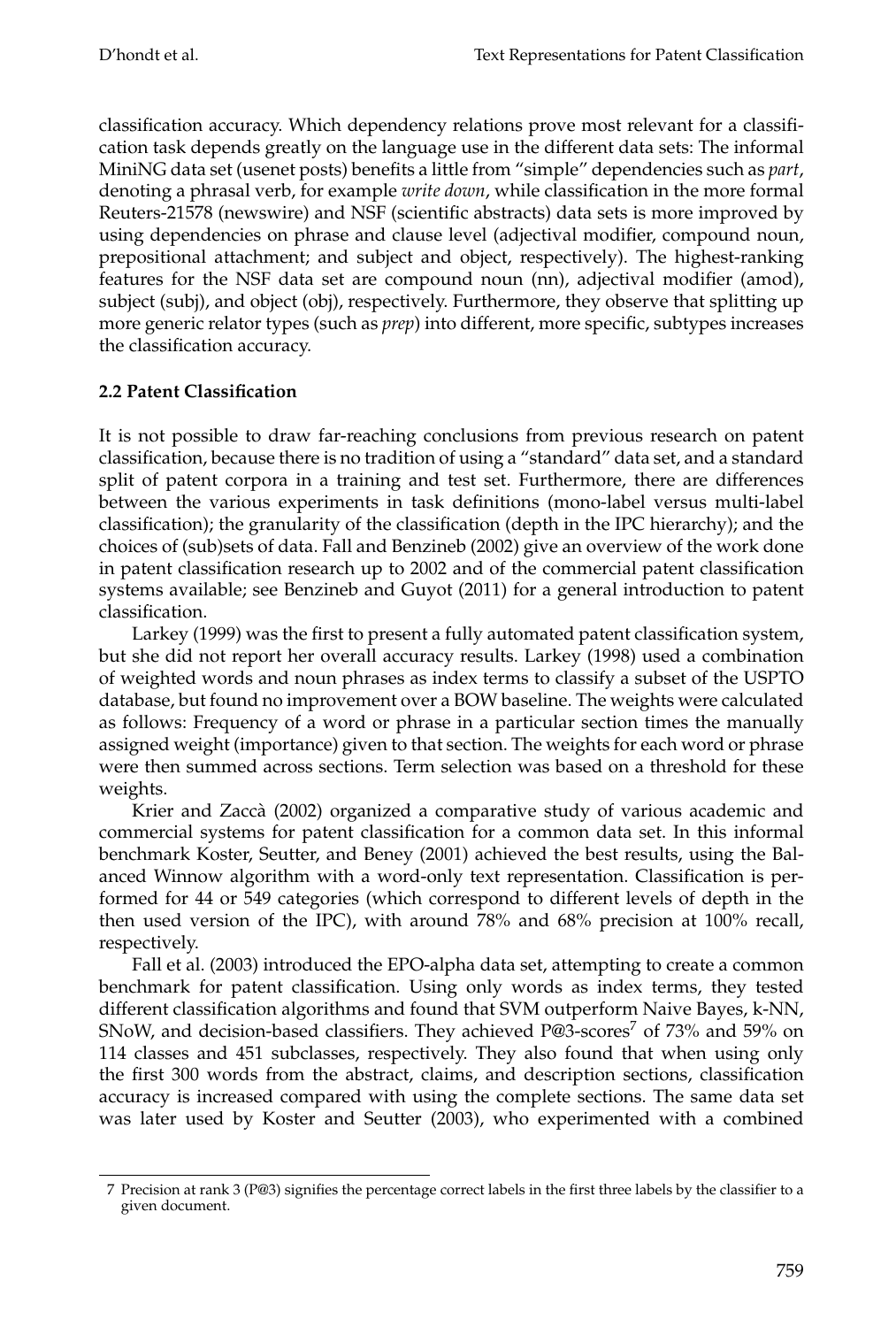classification accuracy. Which dependency relations prove most relevant for a classification task depends greatly on the language use in the different data sets: The informal MiniNG data set (usenet posts) benefits a little from "simple" dependencies such as *part*, denoting a phrasal verb, for example *write down*, while classification in the more formal Reuters-21578 (newswire) and NSF (scientific abstracts) data sets is more improved by using dependencies on phrase and clause level (adjectival modifier, compound noun, prepositional attachment; and subject and object, respectively). The highest-ranking features for the NSF data set are compound noun (nn), adjectival modifier (amod), subject (subj), and object (obj), respectively. Furthermore, they observe that splitting up more generic relator types (such as *prep*) into different, more specific, subtypes increases the classification accuracy.

## **2.2 Patent Classification**

It is not possible to draw far-reaching conclusions from previous research on patent classification, because there is no tradition of using a "standard" data set, and a standard split of patent corpora in a training and test set. Furthermore, there are differences between the various experiments in task definitions (mono-label versus multi-label classification); the granularity of the classification (depth in the IPC hierarchy); and the choices of (sub)sets of data. Fall and Benzineb (2002) give an overview of the work done in patent classification research up to 2002 and of the commercial patent classification systems available; see Benzineb and Guyot (2011) for a general introduction to patent classification.

Larkey (1999) was the first to present a fully automated patent classification system, but she did not report her overall accuracy results. Larkey (1998) used a combination of weighted words and noun phrases as index terms to classify a subset of the USPTO database, but found no improvement over a BOW baseline. The weights were calculated as follows: Frequency of a word or phrase in a particular section times the manually assigned weight (importance) given to that section. The weights for each word or phrase were then summed across sections. Term selection was based on a threshold for these weights.

Krier and Zacca (2002) organized a comparative study of various academic and ` commercial systems for patent classification for a common data set. In this informal benchmark Koster, Seutter, and Beney (2001) achieved the best results, using the Balanced Winnow algorithm with a word-only text representation. Classification is performed for 44 or 549 categories (which correspond to different levels of depth in the then used version of the IPC), with around 78% and 68% precision at 100% recall, respectively.

Fall et al. (2003) introduced the EPO-alpha data set, attempting to create a common benchmark for patent classification. Using only words as index terms, they tested different classification algorithms and found that SVM outperform Naive Bayes, k-NN, SNoW, and decision-based classifiers. They achieved P@3-scores<sup>7</sup> of 73% and 59% on 114 classes and 451 subclasses, respectively. They also found that when using only the first 300 words from the abstract, claims, and description sections, classification accuracy is increased compared with using the complete sections. The same data set was later used by Koster and Seutter (2003), who experimented with a combined

<sup>7</sup> Precision at rank 3 (P@3) signifies the percentage correct labels in the first three labels by the classifier to a given document.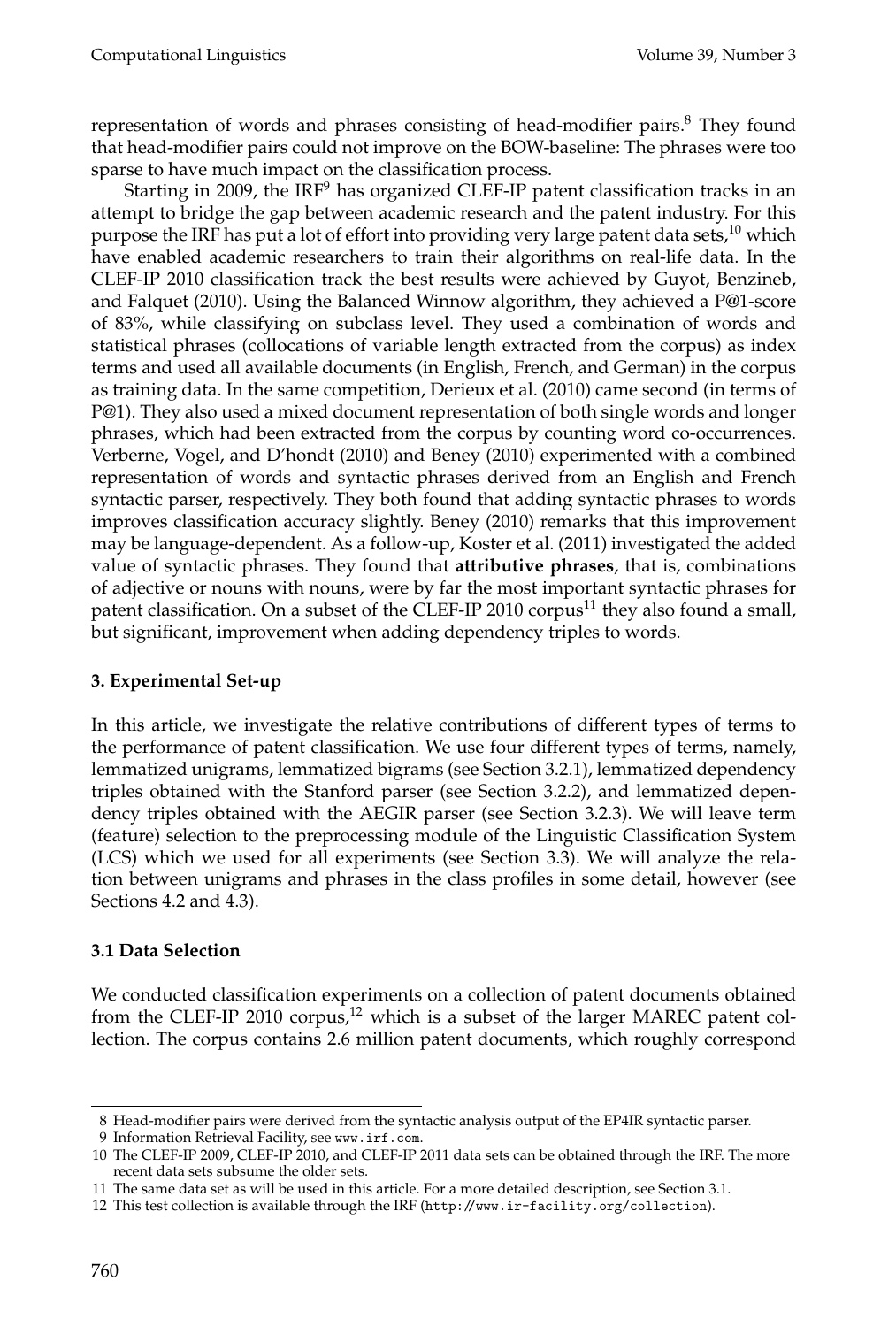representation of words and phrases consisting of head-modifier pairs.<sup>8</sup> They found that head-modifier pairs could not improve on the BOW-baseline: The phrases were too sparse to have much impact on the classification process.

Starting in 2009, the IRF<sup>9</sup> has organized CLEF-IP patent classification tracks in an attempt to bridge the gap between academic research and the patent industry. For this purpose the IRF has put a lot of effort into providing very large patent data sets, $^{10}$  which have enabled academic researchers to train their algorithms on real-life data. In the CLEF-IP 2010 classification track the best results were achieved by Guyot, Benzineb, and Falquet (2010). Using the Balanced Winnow algorithm, they achieved a P@1-score of 83%, while classifying on subclass level. They used a combination of words and statistical phrases (collocations of variable length extracted from the corpus) as index terms and used all available documents (in English, French, and German) in the corpus as training data. In the same competition, Derieux et al. (2010) came second (in terms of P@1). They also used a mixed document representation of both single words and longer phrases, which had been extracted from the corpus by counting word co-occurrences. Verberne, Vogel, and D'hondt (2010) and Beney (2010) experimented with a combined representation of words and syntactic phrases derived from an English and French syntactic parser, respectively. They both found that adding syntactic phrases to words improves classification accuracy slightly. Beney (2010) remarks that this improvement may be language-dependent. As a follow-up, Koster et al. (2011) investigated the added value of syntactic phrases. They found that **attributive phrases**, that is, combinations of adjective or nouns with nouns, were by far the most important syntactic phrases for patent classification. On a subset of the CLEF-IP 2010 corpus<sup>11</sup> they also found a small, but significant, improvement when adding dependency triples to words.

## **3. Experimental Set-up**

In this article, we investigate the relative contributions of different types of terms to the performance of patent classification. We use four different types of terms, namely, lemmatized unigrams, lemmatized bigrams (see Section 3.2.1), lemmatized dependency triples obtained with the Stanford parser (see Section 3.2.2), and lemmatized dependency triples obtained with the AEGIR parser (see Section 3.2.3). We will leave term (feature) selection to the preprocessing module of the Linguistic Classification System (LCS) which we used for all experiments (see Section 3.3). We will analyze the relation between unigrams and phrases in the class profiles in some detail, however (see Sections 4.2 and 4.3).

## **3.1 Data Selection**

We conducted classification experiments on a collection of patent documents obtained from the CLEF-IP 2010 corpus,<sup>12</sup> which is a subset of the larger MAREC patent collection. The corpus contains 2.6 million patent documents, which roughly correspond

<sup>8</sup> Head-modifier pairs were derived from the syntactic analysis output of the EP4IR syntactic parser.

<sup>9</sup> Information Retrieval Facility, see www.irf.com.

<sup>10</sup> The CLEF-IP 2009, CLEF-IP 2010, and CLEF-IP 2011 data sets can be obtained through the IRF. The more recent data sets subsume the older sets.

<sup>11</sup> The same data set as will be used in this article. For a more detailed description, see Section 3.1.

<sup>12</sup> This test collection is available through the IRF (http://www.ir-facility.org/collection).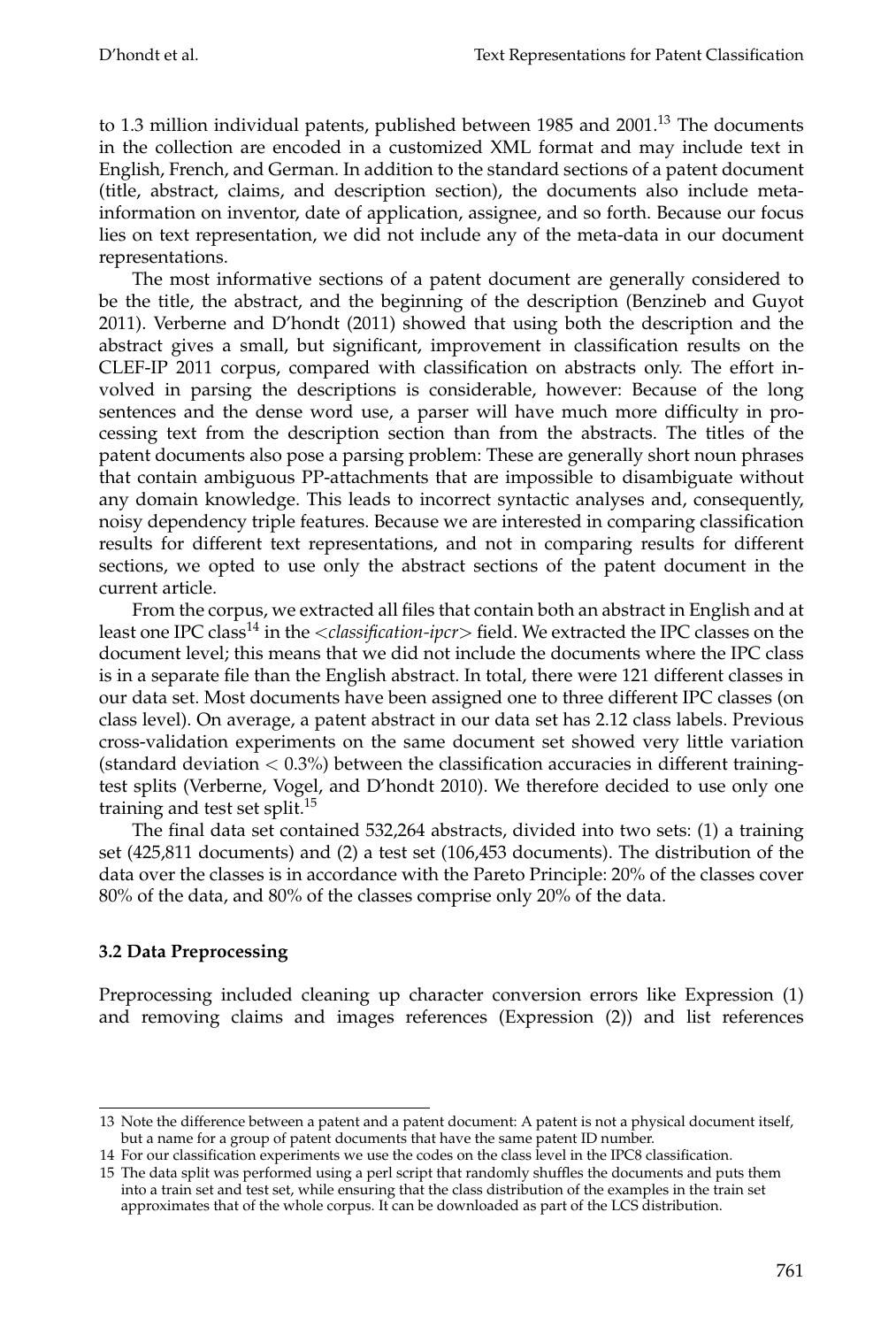to 1.3 million individual patents, published between 1985 and  $2001$ .<sup>13</sup> The documents in the collection are encoded in a customized XML format and may include text in English, French, and German. In addition to the standard sections of a patent document (title, abstract, claims, and description section), the documents also include metainformation on inventor, date of application, assignee, and so forth. Because our focus lies on text representation, we did not include any of the meta-data in our document representations.

The most informative sections of a patent document are generally considered to be the title, the abstract, and the beginning of the description (Benzineb and Guyot 2011). Verberne and D'hondt (2011) showed that using both the description and the abstract gives a small, but significant, improvement in classification results on the CLEF-IP 2011 corpus, compared with classification on abstracts only. The effort involved in parsing the descriptions is considerable, however: Because of the long sentences and the dense word use, a parser will have much more difficulty in processing text from the description section than from the abstracts. The titles of the patent documents also pose a parsing problem: These are generally short noun phrases that contain ambiguous PP-attachments that are impossible to disambiguate without any domain knowledge. This leads to incorrect syntactic analyses and, consequently, noisy dependency triple features. Because we are interested in comparing classification results for different text representations, and not in comparing results for different sections, we opted to use only the abstract sections of the patent document in the current article.

From the corpus, we extracted all files that contain both an abstract in English and at least one IPC class14 in the <*classification-ipcr*> field. We extracted the IPC classes on the document level; this means that we did not include the documents where the IPC class is in a separate file than the English abstract. In total, there were 121 different classes in our data set. Most documents have been assigned one to three different IPC classes (on class level). On average, a patent abstract in our data set has 2.12 class labels. Previous cross-validation experiments on the same document set showed very little variation (standard deviation  $< 0.3\%$ ) between the classification accuracies in different trainingtest splits (Verberne, Vogel, and D'hondt 2010). We therefore decided to use only one training and test set split.<sup>15</sup>

The final data set contained 532,264 abstracts, divided into two sets: (1) a training set (425,811 documents) and (2) a test set (106,453 documents). The distribution of the data over the classes is in accordance with the Pareto Principle: 20% of the classes cover 80% of the data, and 80% of the classes comprise only 20% of the data.

## **3.2 Data Preprocessing**

Preprocessing included cleaning up character conversion errors like Expression (1) and removing claims and images references (Expression (2)) and list references

14 For our classification experiments we use the codes on the class level in the IPC8 classification.

<sup>13</sup> Note the difference between a patent and a patent document: A patent is not a physical document itself, but a name for a group of patent documents that have the same patent ID number.

<sup>15</sup> The data split was performed using a perl script that randomly shuffles the documents and puts them into a train set and test set, while ensuring that the class distribution of the examples in the train set approximates that of the whole corpus. It can be downloaded as part of the LCS distribution.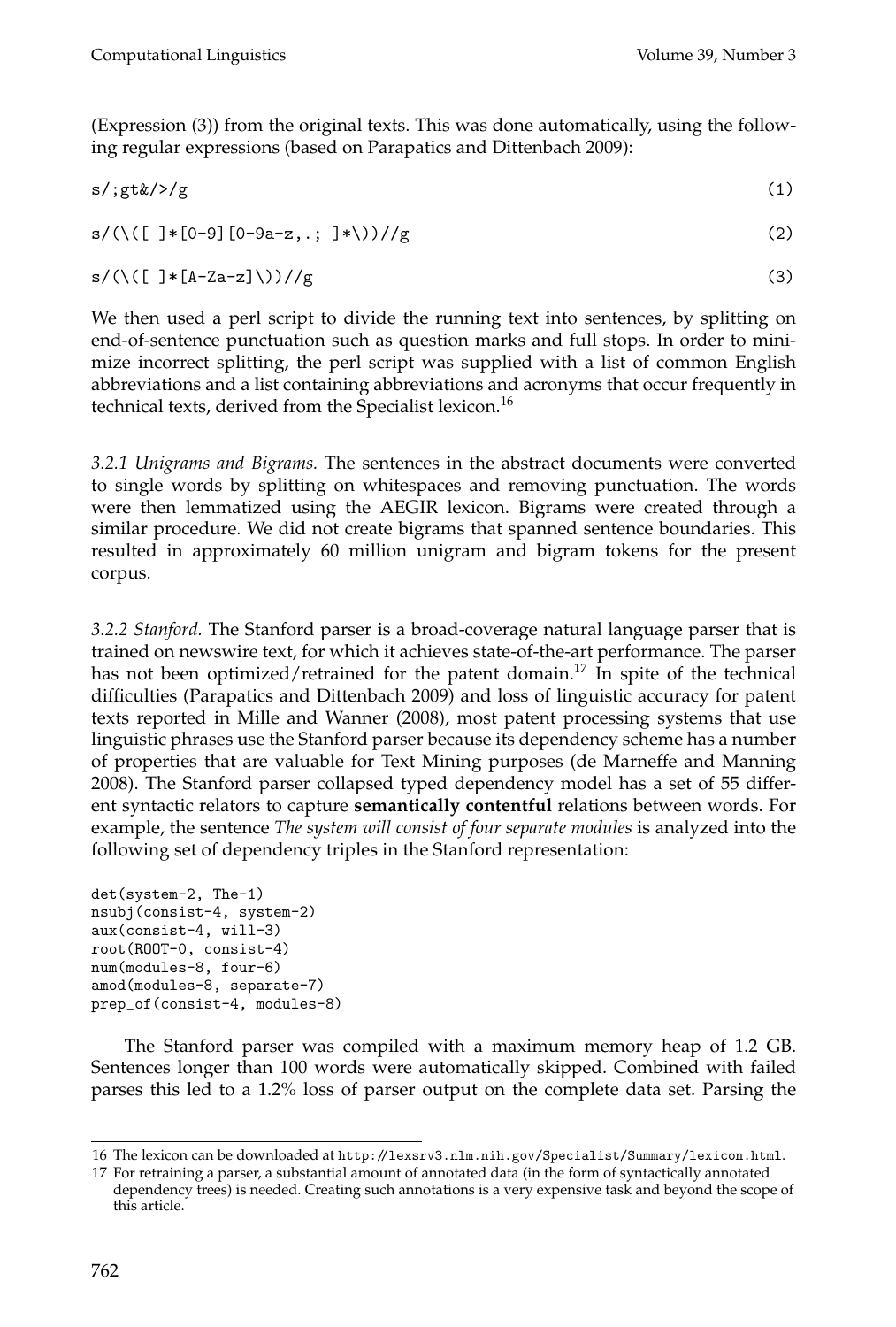(Expression (3)) from the original texts. This was done automatically, using the following regular expressions (based on Parapatics and Dittenbach 2009):

$$
s/\frac{1}{2}t\frac{dt}{\sqrt{g}}\tag{1}
$$

 $s/(\{([ ]*(0-9) [0-9a-z, .; ]*(\))}/g$  (2)

 $s/(\binom{1}{r}*[A-Za-z]/)/g$  (3)

We then used a perl script to divide the running text into sentences, by splitting on end-of-sentence punctuation such as question marks and full stops. In order to minimize incorrect splitting, the perl script was supplied with a list of common English abbreviations and a list containing abbreviations and acronyms that occur frequently in technical texts, derived from the Specialist lexicon.<sup>16</sup>

*3.2.1 Unigrams and Bigrams.* The sentences in the abstract documents were converted to single words by splitting on whitespaces and removing punctuation. The words were then lemmatized using the AEGIR lexicon. Bigrams were created through a similar procedure. We did not create bigrams that spanned sentence boundaries. This resulted in approximately 60 million unigram and bigram tokens for the present corpus.

*3.2.2 Stanford.* The Stanford parser is a broad-coverage natural language parser that is trained on newswire text, for which it achieves state-of-the-art performance. The parser has not been optimized/retrained for the patent domain.<sup>17</sup> In spite of the technical difficulties (Parapatics and Dittenbach 2009) and loss of linguistic accuracy for patent texts reported in Mille and Wanner (2008), most patent processing systems that use linguistic phrases use the Stanford parser because its dependency scheme has a number of properties that are valuable for Text Mining purposes (de Marneffe and Manning 2008). The Stanford parser collapsed typed dependency model has a set of 55 different syntactic relators to capture **semantically contentful** relations between words. For example, the sentence *The system will consist of four separate modules* is analyzed into the following set of dependency triples in the Stanford representation:

```
det(system-2, The-1)
nsubj(consist-4, system-2)
aux(consist-4, will-3)
root(ROOT-0, consist-4)
num(modules-8, four-6)
amod(modules-8, separate-7)
prep_of(consist-4, modules-8)
```
The Stanford parser was compiled with a maximum memory heap of 1.2 GB. Sentences longer than 100 words were automatically skipped. Combined with failed parses this led to a 1.2% loss of parser output on the complete data set. Parsing the

<sup>16</sup> The lexicon can be downloaded at http://lexsrv3.nlm.nih.gov/Specialist/Summary/lexicon.html.

<sup>17</sup> For retraining a parser, a substantial amount of annotated data (in the form of syntactically annotated dependency trees) is needed. Creating such annotations is a very expensive task and beyond the scope of this article.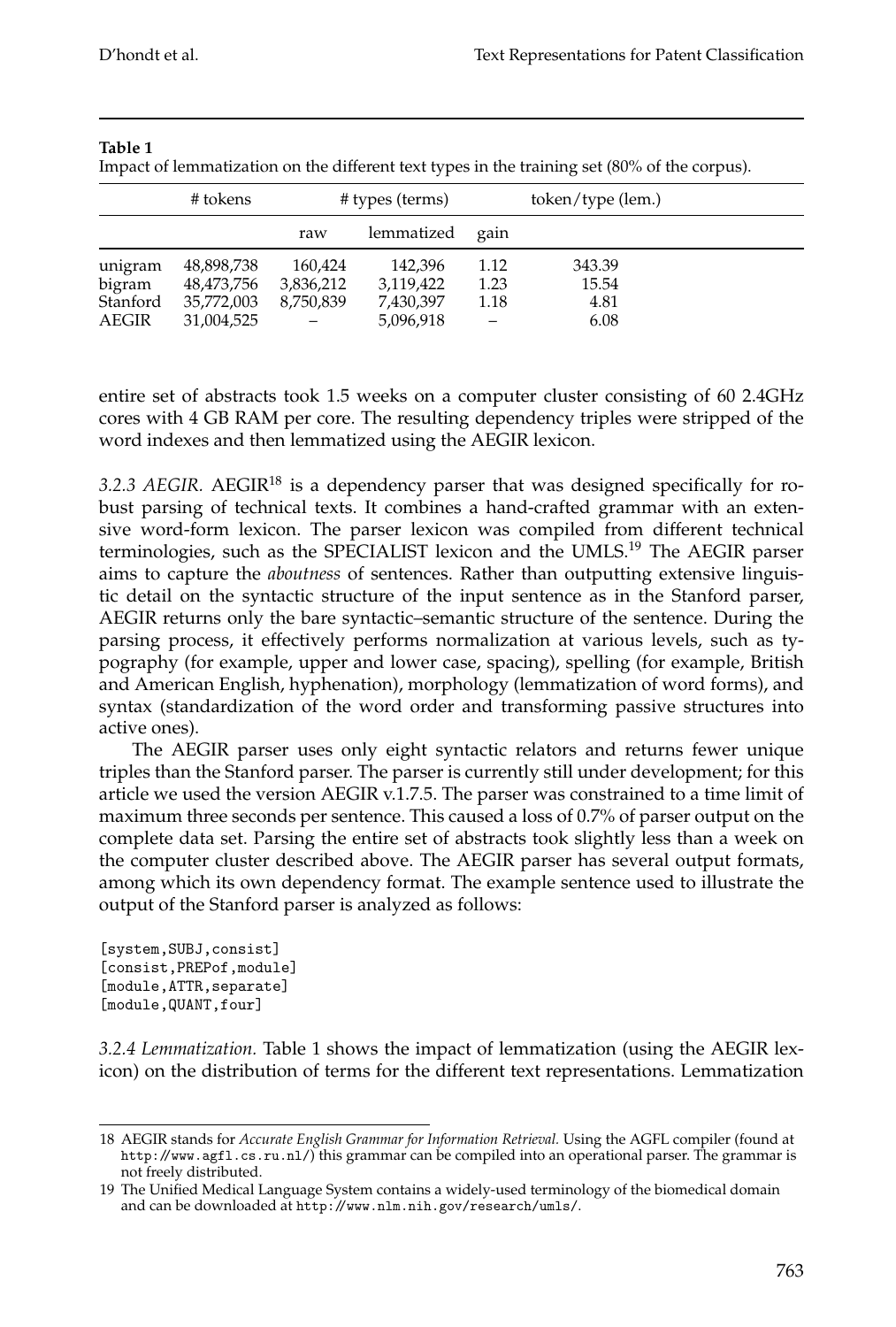|          | # tokens   |           | # types (terms) |      | token/type (lem.) |  |
|----------|------------|-----------|-----------------|------|-------------------|--|
|          |            | raw       | lemmatized      | gain |                   |  |
| unigram  | 48,898,738 | 160,424   | 142,396         | 1.12 | 343.39            |  |
| bigram   | 48,473,756 | 3,836,212 | 3,119,422       | 1.23 | 15.54             |  |
| Stanford | 35,772,003 | 8,750,839 | 7,430,397       | 1.18 | 4.81              |  |
| AEGIR    | 31,004,525 |           | 5,096,918       |      | 6.08              |  |

Impact of lemmatization on the different text types in the training set (80% of the corpus).

entire set of abstracts took 1.5 weeks on a computer cluster consisting of 60 2.4GHz cores with 4 GB RAM per core. The resulting dependency triples were stripped of the word indexes and then lemmatized using the AEGIR lexicon.

3.2.3 AEGIR. AEGIR<sup>18</sup> is a dependency parser that was designed specifically for robust parsing of technical texts. It combines a hand-crafted grammar with an extensive word-form lexicon. The parser lexicon was compiled from different technical terminologies, such as the SPECIALIST lexicon and the UMLS.<sup>19</sup> The AEGIR parser aims to capture the *aboutness* of sentences. Rather than outputting extensive linguistic detail on the syntactic structure of the input sentence as in the Stanford parser, AEGIR returns only the bare syntactic–semantic structure of the sentence. During the parsing process, it effectively performs normalization at various levels, such as typography (for example, upper and lower case, spacing), spelling (for example, British and American English, hyphenation), morphology (lemmatization of word forms), and syntax (standardization of the word order and transforming passive structures into active ones).

The AEGIR parser uses only eight syntactic relators and returns fewer unique triples than the Stanford parser. The parser is currently still under development; for this article we used the version AEGIR v.1.7.5. The parser was constrained to a time limit of maximum three seconds per sentence. This caused a loss of 0.7% of parser output on the complete data set. Parsing the entire set of abstracts took slightly less than a week on the computer cluster described above. The AEGIR parser has several output formats, among which its own dependency format. The example sentence used to illustrate the output of the Stanford parser is analyzed as follows:

[system,SUBJ,consist] [consist,PREPof,module] [module,ATTR,separate] [module,QUANT,four]

*3.2.4 Lemmatization.* Table 1 shows the impact of lemmatization (using the AEGIR lexicon) on the distribution of terms for the different text representations. Lemmatization

<sup>18</sup> AEGIR stands for *Accurate English Grammar for Information Retrieval.* Using the AGFL compiler (found at http://www.agfl.cs.ru.nl/) this grammar can be compiled into an operational parser. The grammar is not freely distributed.

<sup>19</sup> The Unified Medical Language System contains a widely-used terminology of the biomedical domain and can be downloaded at http://www.nlm.nih.gov/research/umls/.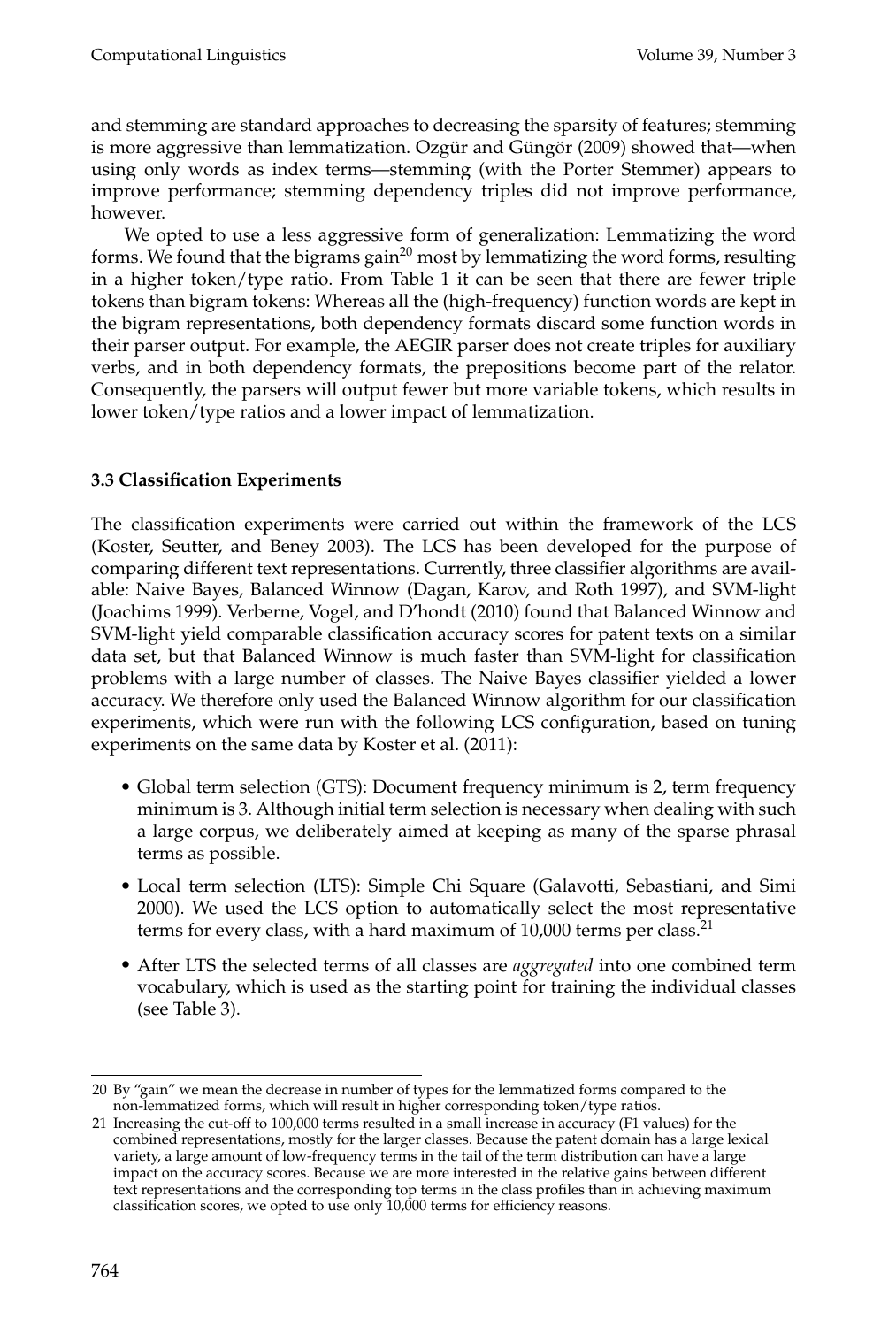and stemming are standard approaches to decreasing the sparsity of features; stemming is more aggressive than lemmatization. Ozgür and Güngör (2009) showed that—when using only words as index terms—stemming (with the Porter Stemmer) appears to improve performance; stemming dependency triples did not improve performance, however.

We opted to use a less aggressive form of generalization: Lemmatizing the word forms. We found that the bigrams gain<sup>20</sup> most by lemmatizing the word forms, resulting in a higher token/type ratio. From Table 1 it can be seen that there are fewer triple tokens than bigram tokens: Whereas all the (high-frequency) function words are kept in the bigram representations, both dependency formats discard some function words in their parser output. For example, the AEGIR parser does not create triples for auxiliary verbs, and in both dependency formats, the prepositions become part of the relator. Consequently, the parsers will output fewer but more variable tokens, which results in lower token/type ratios and a lower impact of lemmatization.

## **3.3 Classification Experiments**

The classification experiments were carried out within the framework of the LCS (Koster, Seutter, and Beney 2003). The LCS has been developed for the purpose of comparing different text representations. Currently, three classifier algorithms are available: Naive Bayes, Balanced Winnow (Dagan, Karov, and Roth 1997), and SVM-light (Joachims 1999). Verberne, Vogel, and D'hondt (2010) found that Balanced Winnow and SVM-light yield comparable classification accuracy scores for patent texts on a similar data set, but that Balanced Winnow is much faster than SVM-light for classification problems with a large number of classes. The Naive Bayes classifier yielded a lower accuracy. We therefore only used the Balanced Winnow algorithm for our classification experiments, which were run with the following LCS configuration, based on tuning experiments on the same data by Koster et al. (2011):

- Global term selection (GTS): Document frequency minimum is 2, term frequency minimum is 3. Although initial term selection is necessary when dealing with such a large corpus, we deliberately aimed at keeping as many of the sparse phrasal terms as possible.
- Local term selection (LTS): Simple Chi Square (Galavotti, Sebastiani, and Simi 2000). We used the LCS option to automatically select the most representative terms for every class, with a hard maximum of  $10,000$  terms per class.<sup>21</sup>
- After LTS the selected terms of all classes are *aggregated* into one combined term vocabulary, which is used as the starting point for training the individual classes (see Table 3).

<sup>20</sup> By "gain" we mean the decrease in number of types for the lemmatized forms compared to the non-lemmatized forms, which will result in higher corresponding token/type ratios.

<sup>21</sup> Increasing the cut-off to 100,000 terms resulted in a small increase in accuracy (F1 values) for the combined representations, mostly for the larger classes. Because the patent domain has a large lexical variety, a large amount of low-frequency terms in the tail of the term distribution can have a large impact on the accuracy scores. Because we are more interested in the relative gains between different text representations and the corresponding top terms in the class profiles than in achieving maximum classification scores, we opted to use only 10,000 terms for efficiency reasons.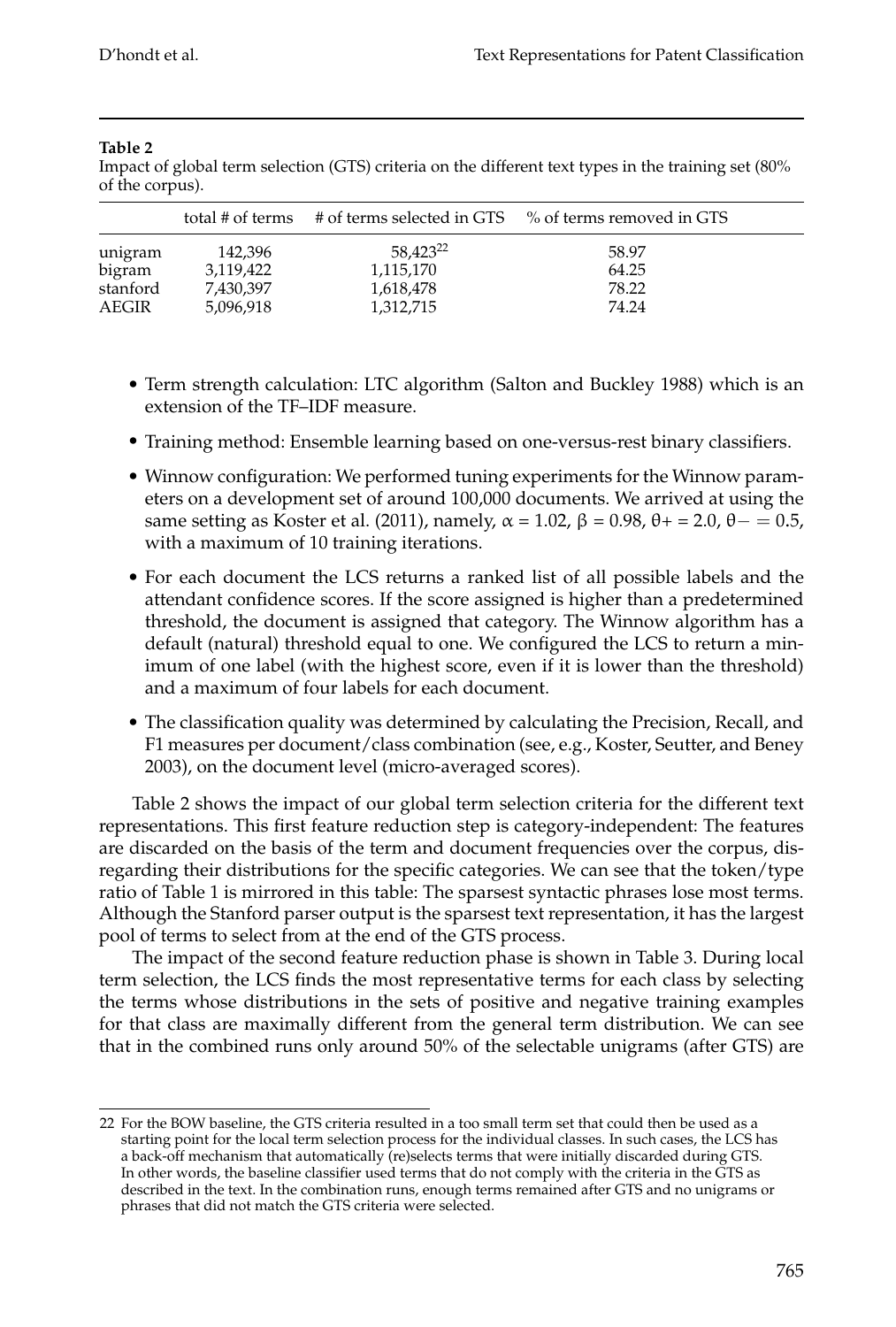Impact of global term selection (GTS) criteria on the different text types in the training set (80% of the corpus).

|          |           |                      | total # of terms $\#$ of terms selected in GTS $\%$ of terms removed in GTS |  |
|----------|-----------|----------------------|-----------------------------------------------------------------------------|--|
| unigram  | 142.396   | 58.423 <sup>22</sup> | 58.97                                                                       |  |
| bigram   | 3,119,422 | 1,115,170            | 64.25                                                                       |  |
| stanford | 7,430,397 | 1,618,478            | 78.22                                                                       |  |
| AEGIR    | 5.096.918 | 1,312,715            | 74.24                                                                       |  |

- Term strength calculation: LTC algorithm (Salton and Buckley 1988) which is an extension of the TF–IDF measure.
- Training method: Ensemble learning based on one-versus-rest binary classifiers.
- Winnow configuration: We performed tuning experiments for the Winnow parameters on a development set of around 100,000 documents. We arrived at using the same setting as Koster et al. (2011), namely,  $\alpha = 1.02$ ,  $\beta = 0.98$ ,  $\theta + 2.0$ ,  $\theta - 0.5$ , with a maximum of 10 training iterations.
- For each document the LCS returns a ranked list of all possible labels and the attendant confidence scores. If the score assigned is higher than a predetermined threshold, the document is assigned that category. The Winnow algorithm has a default (natural) threshold equal to one. We configured the LCS to return a minimum of one label (with the highest score, even if it is lower than the threshold) and a maximum of four labels for each document.
- The classification quality was determined by calculating the Precision, Recall, and F1 measures per document/class combination (see, e.g., Koster, Seutter, and Beney 2003), on the document level (micro-averaged scores).

Table 2 shows the impact of our global term selection criteria for the different text representations. This first feature reduction step is category-independent: The features are discarded on the basis of the term and document frequencies over the corpus, disregarding their distributions for the specific categories. We can see that the token/type ratio of Table 1 is mirrored in this table: The sparsest syntactic phrases lose most terms. Although the Stanford parser output is the sparsest text representation, it has the largest pool of terms to select from at the end of the GTS process.

The impact of the second feature reduction phase is shown in Table 3. During local term selection, the LCS finds the most representative terms for each class by selecting the terms whose distributions in the sets of positive and negative training examples for that class are maximally different from the general term distribution. We can see that in the combined runs only around 50% of the selectable unigrams (after GTS) are

<sup>22</sup> For the BOW baseline, the GTS criteria resulted in a too small term set that could then be used as a starting point for the local term selection process for the individual classes. In such cases, the LCS has a back-off mechanism that automatically (re)selects terms that were initially discarded during GTS. In other words, the baseline classifier used terms that do not comply with the criteria in the GTS as described in the text. In the combination runs, enough terms remained after GTS and no unigrams or phrases that did not match the GTS criteria were selected.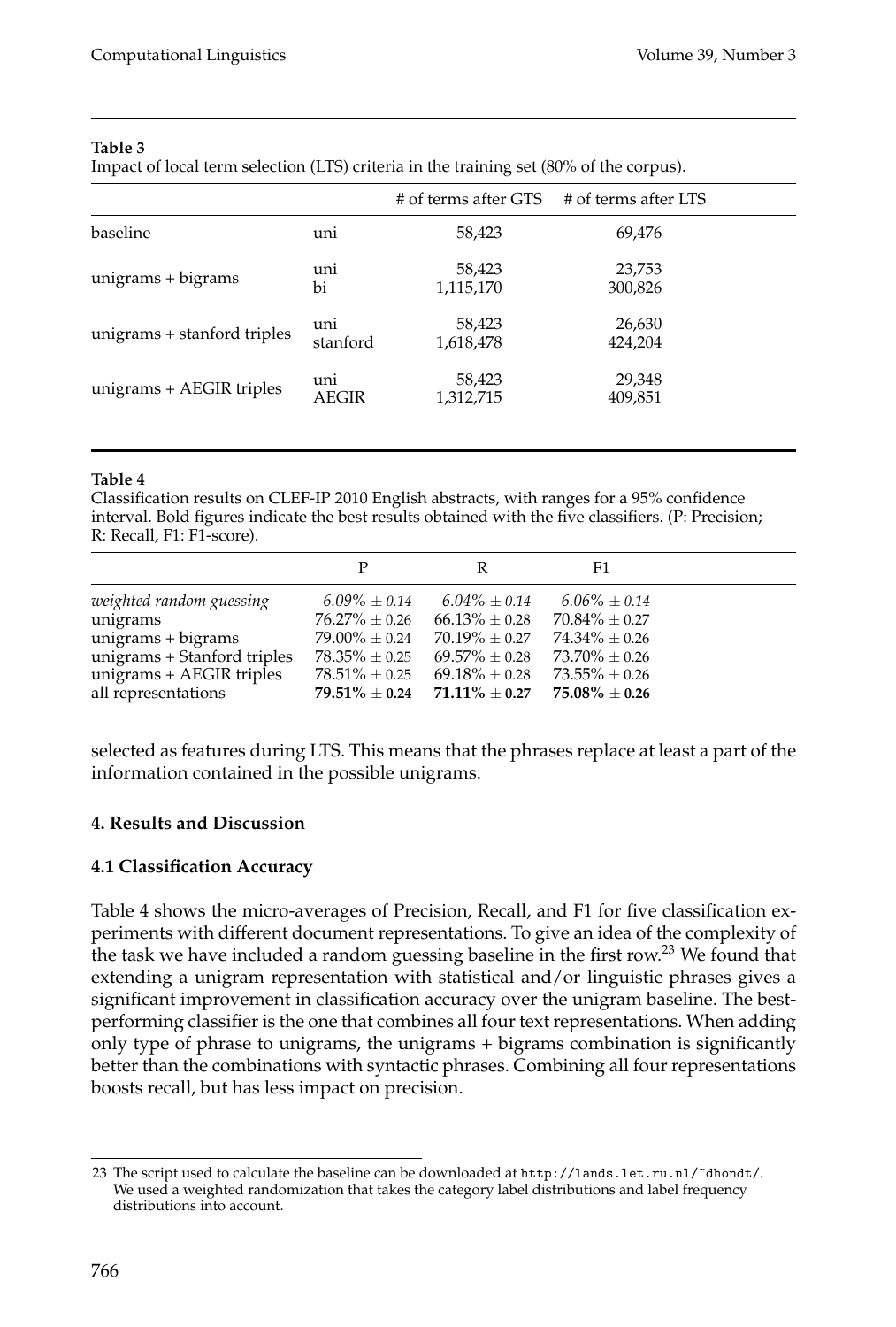Impact of local term selection (LTS) criteria in the training set (80% of the corpus).

|                             |                 | # of terms after GTS | # of terms after LTS |  |
|-----------------------------|-----------------|----------------------|----------------------|--|
| baseline                    | uni             | 58,423               | 69,476               |  |
| unigrams + bigrams          | uni<br>bi       | 58,423<br>1,115,170  | 23,753<br>300,826    |  |
| unigrams + stanford triples | uni<br>stanford | 58,423<br>1,618,478  | 26,630<br>424,204    |  |
| unigrams + AEGIR triples    | uni<br>AEGIR    | 58,423<br>1,312,715  | 29,348<br>409,851    |  |

### **Table 4**

Classification results on CLEF-IP 2010 English abstracts, with ranges for a 95% confidence interval. Bold figures indicate the best results obtained with the five classifiers. (P: Precision; R: Recall, F1: F1-score).

|                             |                    |                                       | F1                 |
|-----------------------------|--------------------|---------------------------------------|--------------------|
| weighted random guessing    | $6.09\% \pm 0.14$  | $6.04\% + 0.14$                       | $6.06\% + 0.14$    |
| unigrams                    | $76.27\% \pm 0.26$ | $66.13\% \pm 0.28$                    | $70.84\% \pm 0.27$ |
| $unigrams + bigrams$        | $79.00\% \pm 0.24$ | $70.19\% \pm 0.27$                    | $74.34\% \pm 0.26$ |
| unigrams + Stanford triples | $78.35\% \pm 0.25$ | $69.57\% \pm 0.28$                    | $73.70\% \pm 0.26$ |
| unigrams + AEGIR triples    | $78.51\% \pm 0.25$ | $69.18\% \pm 0.28$                    | $73.55\% \pm 0.26$ |
| all representations         |                    | $79.51\% \pm 0.24$ $71.11\% \pm 0.27$ | $75.08\% \pm 0.26$ |

selected as features during LTS. This means that the phrases replace at least a part of the information contained in the possible unigrams.

## **4. Results and Discussion**

## **4.1 Classification Accuracy**

Table 4 shows the micro-averages of Precision, Recall, and F1 for five classification experiments with different document representations. To give an idea of the complexity of the task we have included a random guessing baseline in the first row.<sup>23</sup> We found that extending a unigram representation with statistical and/or linguistic phrases gives a significant improvement in classification accuracy over the unigram baseline. The bestperforming classifier is the one that combines all four text representations. When adding only type of phrase to unigrams, the unigrams + bigrams combination is significantly better than the combinations with syntactic phrases. Combining all four representations boosts recall, but has less impact on precision.

<sup>23</sup> The script used to calculate the baseline can be downloaded at http://lands.let.ru.nl/~dhondt/. We used a weighted randomization that takes the category label distributions and label frequency distributions into account.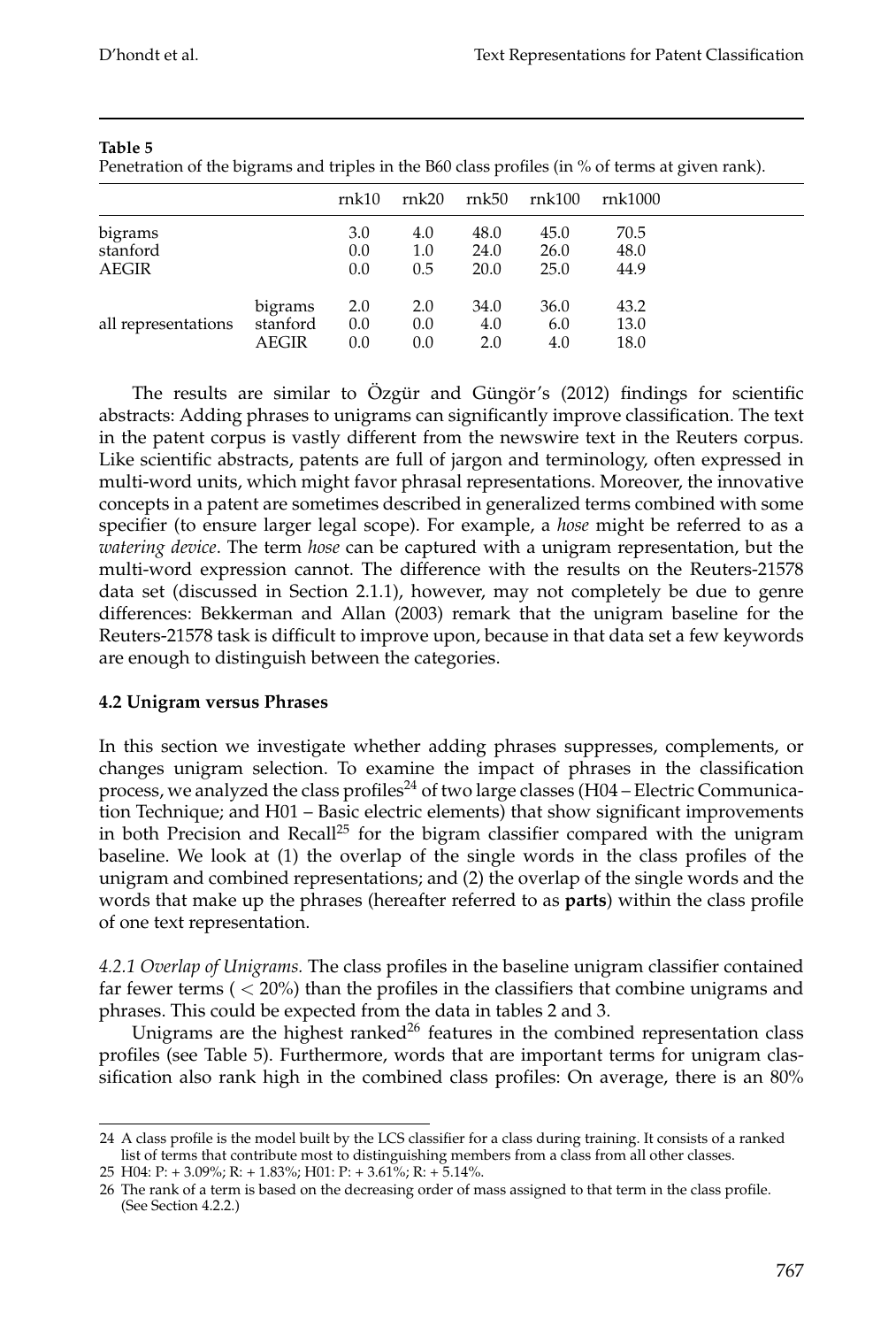|                                     |                                     | rnk10             | rnk20             | rnk50                | rnk100               | rnk1000              |  |
|-------------------------------------|-------------------------------------|-------------------|-------------------|----------------------|----------------------|----------------------|--|
| bigrams<br>stanford<br><b>AEGIR</b> |                                     | 3.0<br>0.0<br>0.0 | 4.0<br>1.0<br>0.5 | 48.0<br>24.0<br>20.0 | 45.0<br>26.0<br>25.0 | 70.5<br>48.0<br>44.9 |  |
| all representations                 | bigrams<br>stanford<br><b>AEGIR</b> | 2.0<br>0.0<br>0.0 | 2.0<br>0.0<br>0.0 | 34.0<br>4.0<br>2.0   | 36.0<br>6.0<br>4.0   | 43.2<br>13.0<br>18.0 |  |

Penetration of the bigrams and triples in the B60 class profiles (in % of terms at given rank).

The results are similar to Özgür and Güngör's (2012) findings for scientific abstracts: Adding phrases to unigrams can significantly improve classification. The text in the patent corpus is vastly different from the newswire text in the Reuters corpus. Like scientific abstracts, patents are full of jargon and terminology, often expressed in multi-word units, which might favor phrasal representations. Moreover, the innovative concepts in a patent are sometimes described in generalized terms combined with some specifier (to ensure larger legal scope). For example, a *hose* might be referred to as a *watering device*. The term *hose* can be captured with a unigram representation, but the multi-word expression cannot. The difference with the results on the Reuters-21578 data set (discussed in Section 2.1.1), however, may not completely be due to genre differences: Bekkerman and Allan (2003) remark that the unigram baseline for the Reuters-21578 task is difficult to improve upon, because in that data set a few keywords are enough to distinguish between the categories.

### **4.2 Unigram versus Phrases**

In this section we investigate whether adding phrases suppresses, complements, or changes unigram selection. To examine the impact of phrases in the classification process, we analyzed the class profiles<sup>24</sup> of two large classes (H04 – Electric Communication Technique; and H01 – Basic electric elements) that show significant improvements in both Precision and Recall<sup>25</sup> for the bigram classifier compared with the unigram baseline. We look at (1) the overlap of the single words in the class profiles of the unigram and combined representations; and (2) the overlap of the single words and the words that make up the phrases (hereafter referred to as **parts**) within the class profile of one text representation.

*4.2.1 Overlap of Unigrams.* The class profiles in the baseline unigram classifier contained far fewer terms ( $<$  20%) than the profiles in the classifiers that combine unigrams and phrases. This could be expected from the data in tables 2 and 3.

Unigrams are the highest ranked<sup>26</sup> features in the combined representation class profiles (see Table 5). Furthermore, words that are important terms for unigram classification also rank high in the combined class profiles: On average, there is an 80%

<sup>24</sup> A class profile is the model built by the LCS classifier for a class during training. It consists of a ranked list of terms that contribute most to distinguishing members from a class from all other classes.

<sup>25</sup> H04: P: + 3.09%; R: + 1.83%; H01: P: + 3.61%; R: + 5.14%.

<sup>26</sup> The rank of a term is based on the decreasing order of mass assigned to that term in the class profile. (See Section 4.2.2.)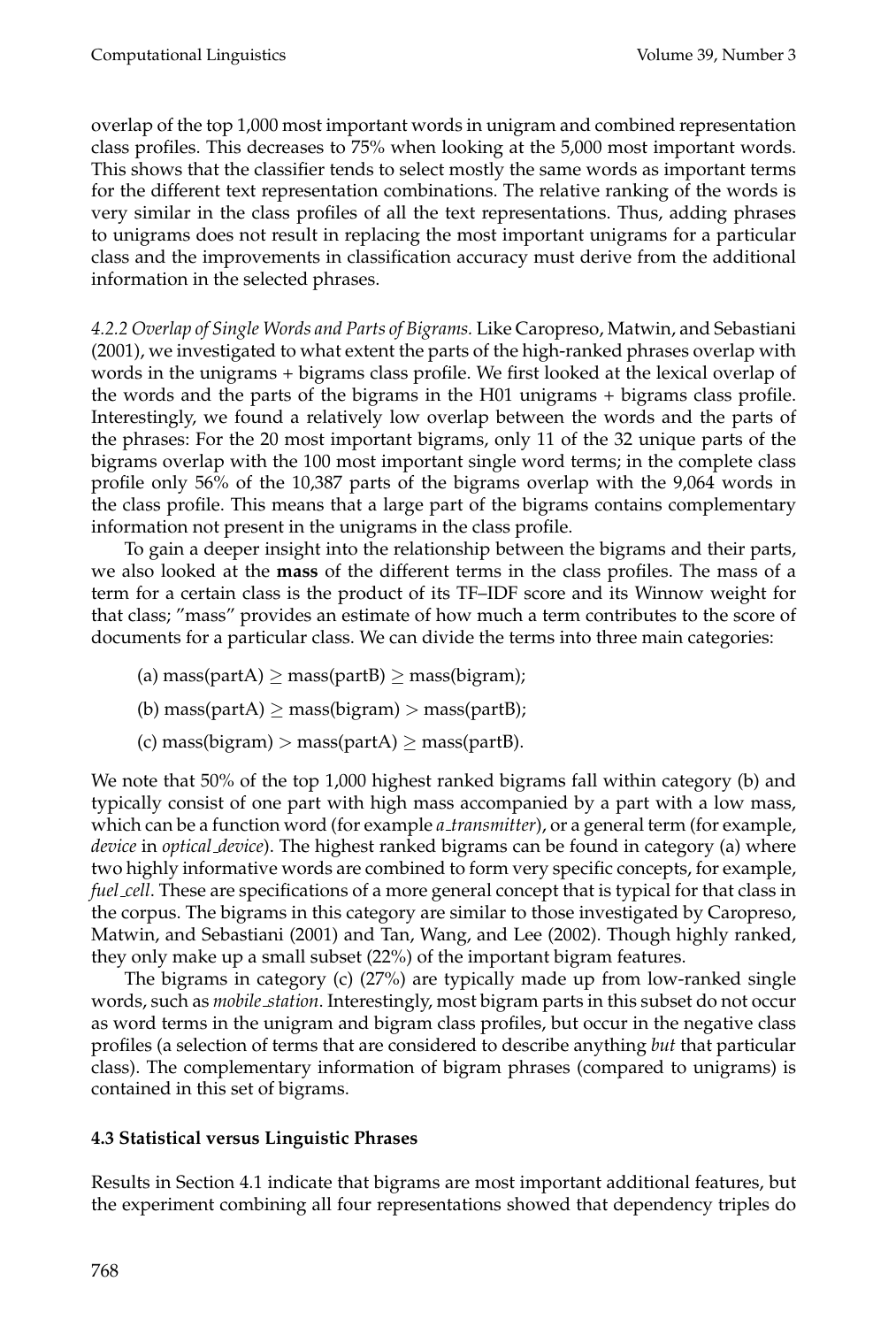overlap of the top 1,000 most important words in unigram and combined representation class profiles. This decreases to 75% when looking at the 5,000 most important words. This shows that the classifier tends to select mostly the same words as important terms for the different text representation combinations. The relative ranking of the words is very similar in the class profiles of all the text representations. Thus, adding phrases to unigrams does not result in replacing the most important unigrams for a particular class and the improvements in classification accuracy must derive from the additional information in the selected phrases.

*4.2.2 Overlap of Single Words and Parts of Bigrams.* Like Caropreso, Matwin, and Sebastiani (2001), we investigated to what extent the parts of the high-ranked phrases overlap with words in the unigrams + bigrams class profile. We first looked at the lexical overlap of the words and the parts of the bigrams in the H01 unigrams + bigrams class profile. Interestingly, we found a relatively low overlap between the words and the parts of the phrases: For the 20 most important bigrams, only 11 of the 32 unique parts of the bigrams overlap with the 100 most important single word terms; in the complete class profile only 56% of the 10,387 parts of the bigrams overlap with the 9,064 words in the class profile. This means that a large part of the bigrams contains complementary information not present in the unigrams in the class profile.

To gain a deeper insight into the relationship between the bigrams and their parts, we also looked at the **mass** of the different terms in the class profiles. The mass of a term for a certain class is the product of its TF–IDF score and its Winnow weight for that class; "mass" provides an estimate of how much a term contributes to the score of documents for a particular class. We can divide the terms into three main categories:

- (a) mass(partA)  $\geq$  mass(partB)  $\geq$  mass(bigram);
- (b) mass(partA)  $\geq$  mass(bigram)  $>$  mass(partB);
- (c) mass(bigram) > mass(partA)  $\geq$  mass(partB).

We note that 50% of the top 1,000 highest ranked bigrams fall within category (b) and typically consist of one part with high mass accompanied by a part with a low mass, which can be a function word (for example *a transmitter*), or a general term (for example, *device* in *optical device*). The highest ranked bigrams can be found in category (a) where two highly informative words are combined to form very specific concepts, for example, *fuel cell*. These are specifications of a more general concept that is typical for that class in the corpus. The bigrams in this category are similar to those investigated by Caropreso, Matwin, and Sebastiani (2001) and Tan, Wang, and Lee (2002). Though highly ranked, they only make up a small subset (22%) of the important bigram features.

The bigrams in category (c) (27%) are typically made up from low-ranked single words, such as *mobile station*. Interestingly, most bigram parts in this subset do not occur as word terms in the unigram and bigram class profiles, but occur in the negative class profiles (a selection of terms that are considered to describe anything *but* that particular class). The complementary information of bigram phrases (compared to unigrams) is contained in this set of bigrams.

## **4.3 Statistical versus Linguistic Phrases**

Results in Section 4.1 indicate that bigrams are most important additional features, but the experiment combining all four representations showed that dependency triples do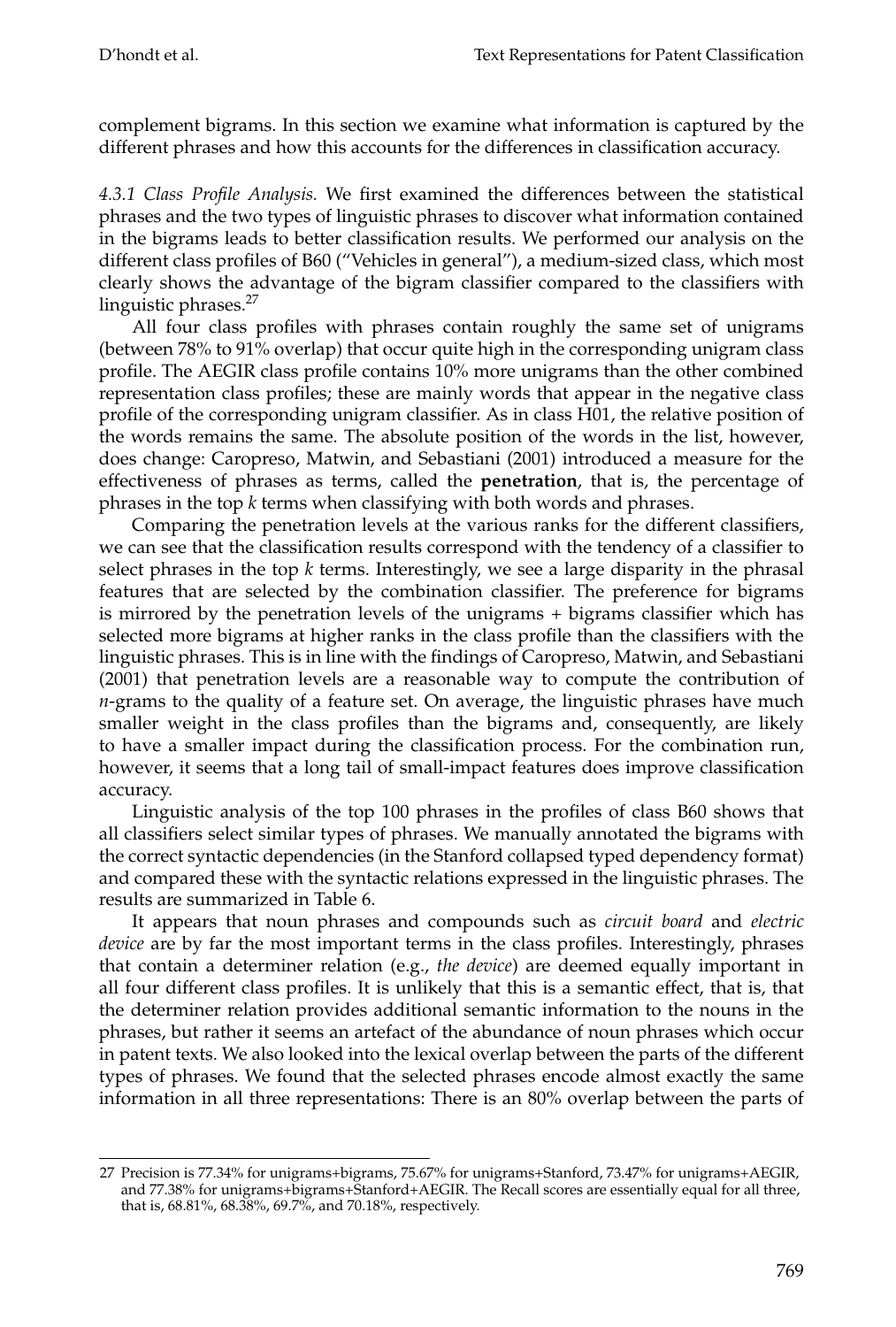complement bigrams. In this section we examine what information is captured by the different phrases and how this accounts for the differences in classification accuracy.

*4.3.1 Class Profile Analysis.* We first examined the differences between the statistical phrases and the two types of linguistic phrases to discover what information contained in the bigrams leads to better classification results. We performed our analysis on the different class profiles of B60 ("Vehicles in general"), a medium-sized class, which most clearly shows the advantage of the bigram classifier compared to the classifiers with linguistic phrases.<sup>27</sup>

All four class profiles with phrases contain roughly the same set of unigrams (between 78% to 91% overlap) that occur quite high in the corresponding unigram class profile. The AEGIR class profile contains 10% more unigrams than the other combined representation class profiles; these are mainly words that appear in the negative class profile of the corresponding unigram classifier. As in class H01, the relative position of the words remains the same. The absolute position of the words in the list, however, does change: Caropreso, Matwin, and Sebastiani (2001) introduced a measure for the effectiveness of phrases as terms, called the **penetration**, that is, the percentage of phrases in the top *k* terms when classifying with both words and phrases.

Comparing the penetration levels at the various ranks for the different classifiers, we can see that the classification results correspond with the tendency of a classifier to select phrases in the top *k* terms. Interestingly, we see a large disparity in the phrasal features that are selected by the combination classifier. The preference for bigrams is mirrored by the penetration levels of the unigrams + bigrams classifier which has selected more bigrams at higher ranks in the class profile than the classifiers with the linguistic phrases. This is in line with the findings of Caropreso, Matwin, and Sebastiani (2001) that penetration levels are a reasonable way to compute the contribution of *n*-grams to the quality of a feature set. On average, the linguistic phrases have much smaller weight in the class profiles than the bigrams and, consequently, are likely to have a smaller impact during the classification process. For the combination run, however, it seems that a long tail of small-impact features does improve classification accuracy.

Linguistic analysis of the top 100 phrases in the profiles of class B60 shows that all classifiers select similar types of phrases. We manually annotated the bigrams with the correct syntactic dependencies (in the Stanford collapsed typed dependency format) and compared these with the syntactic relations expressed in the linguistic phrases. The results are summarized in Table 6.

It appears that noun phrases and compounds such as *circuit board* and *electric device* are by far the most important terms in the class profiles. Interestingly, phrases that contain a determiner relation (e.g., *the device*) are deemed equally important in all four different class profiles. It is unlikely that this is a semantic effect, that is, that the determiner relation provides additional semantic information to the nouns in the phrases, but rather it seems an artefact of the abundance of noun phrases which occur in patent texts. We also looked into the lexical overlap between the parts of the different types of phrases. We found that the selected phrases encode almost exactly the same information in all three representations: There is an 80% overlap between the parts of

<sup>27</sup> Precision is 77.34% for unigrams+bigrams, 75.67% for unigrams+Stanford, 73.47% for unigrams+AEGIR, and 77.38% for unigrams+bigrams+Stanford+AEGIR. The Recall scores are essentially equal for all three, that is, 68.81%, 68.38%, 69.7%, and 70.18%, respectively.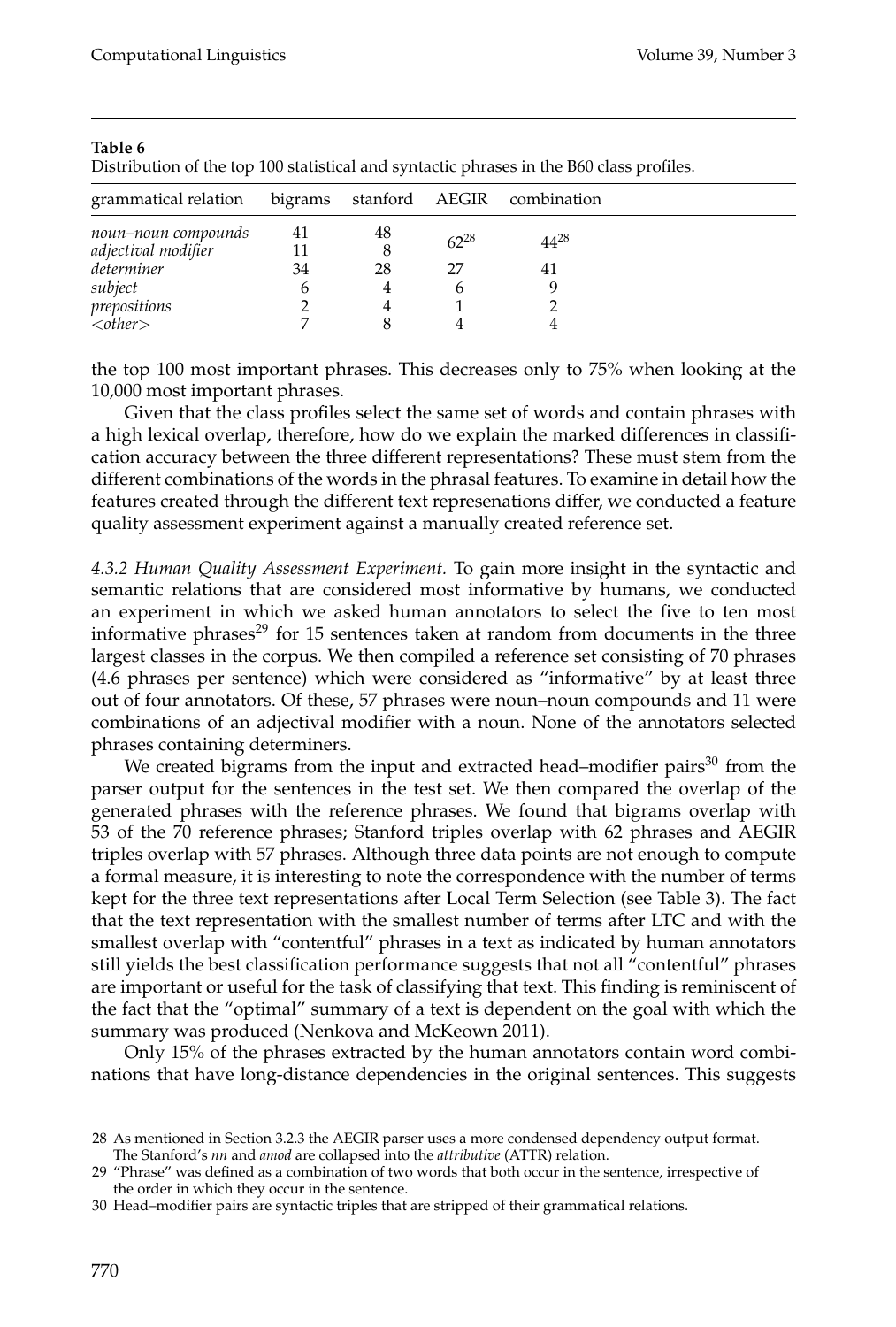Distribution of the top 100 statistical and syntactic phrases in the B60 class profiles.

| grammatical relation                                     |                |          |                 | bigrams stanford AEGIR combination |  |
|----------------------------------------------------------|----------------|----------|-----------------|------------------------------------|--|
| noun–noun compounds<br>adjectival modifier<br>determiner | 41<br>11<br>34 | 48<br>28 | $62^{28}$<br>27 | $44^{28}$                          |  |
| subject<br>prepositions<br><other></other>               | h              |          |                 |                                    |  |

the top 100 most important phrases. This decreases only to 75% when looking at the 10,000 most important phrases.

Given that the class profiles select the same set of words and contain phrases with a high lexical overlap, therefore, how do we explain the marked differences in classification accuracy between the three different representations? These must stem from the different combinations of the words in the phrasal features. To examine in detail how the features created through the different text represenations differ, we conducted a feature quality assessment experiment against a manually created reference set.

*4.3.2 Human Quality Assessment Experiment.* To gain more insight in the syntactic and semantic relations that are considered most informative by humans, we conducted an experiment in which we asked human annotators to select the five to ten most informative phrases $^{29}$  for 15 sentences taken at random from documents in the three largest classes in the corpus. We then compiled a reference set consisting of 70 phrases (4.6 phrases per sentence) which were considered as "informative" by at least three out of four annotators. Of these, 57 phrases were noun–noun compounds and 11 were combinations of an adjectival modifier with a noun. None of the annotators selected phrases containing determiners.

We created bigrams from the input and extracted head–modifier pairs $30$  from the parser output for the sentences in the test set. We then compared the overlap of the generated phrases with the reference phrases. We found that bigrams overlap with 53 of the 70 reference phrases; Stanford triples overlap with 62 phrases and AEGIR triples overlap with 57 phrases. Although three data points are not enough to compute a formal measure, it is interesting to note the correspondence with the number of terms kept for the three text representations after Local Term Selection (see Table 3). The fact that the text representation with the smallest number of terms after LTC and with the smallest overlap with "contentful" phrases in a text as indicated by human annotators still yields the best classification performance suggests that not all "contentful" phrases are important or useful for the task of classifying that text. This finding is reminiscent of the fact that the "optimal" summary of a text is dependent on the goal with which the summary was produced (Nenkova and McKeown 2011).

Only 15% of the phrases extracted by the human annotators contain word combinations that have long-distance dependencies in the original sentences. This suggests

<sup>28</sup> As mentioned in Section 3.2.3 the AEGIR parser uses a more condensed dependency output format. The Stanford's *nn* and *amod* are collapsed into the *attributive* (ATTR) relation.

<sup>29 &</sup>quot;Phrase" was defined as a combination of two words that both occur in the sentence, irrespective of the order in which they occur in the sentence.

<sup>30</sup> Head–modifier pairs are syntactic triples that are stripped of their grammatical relations.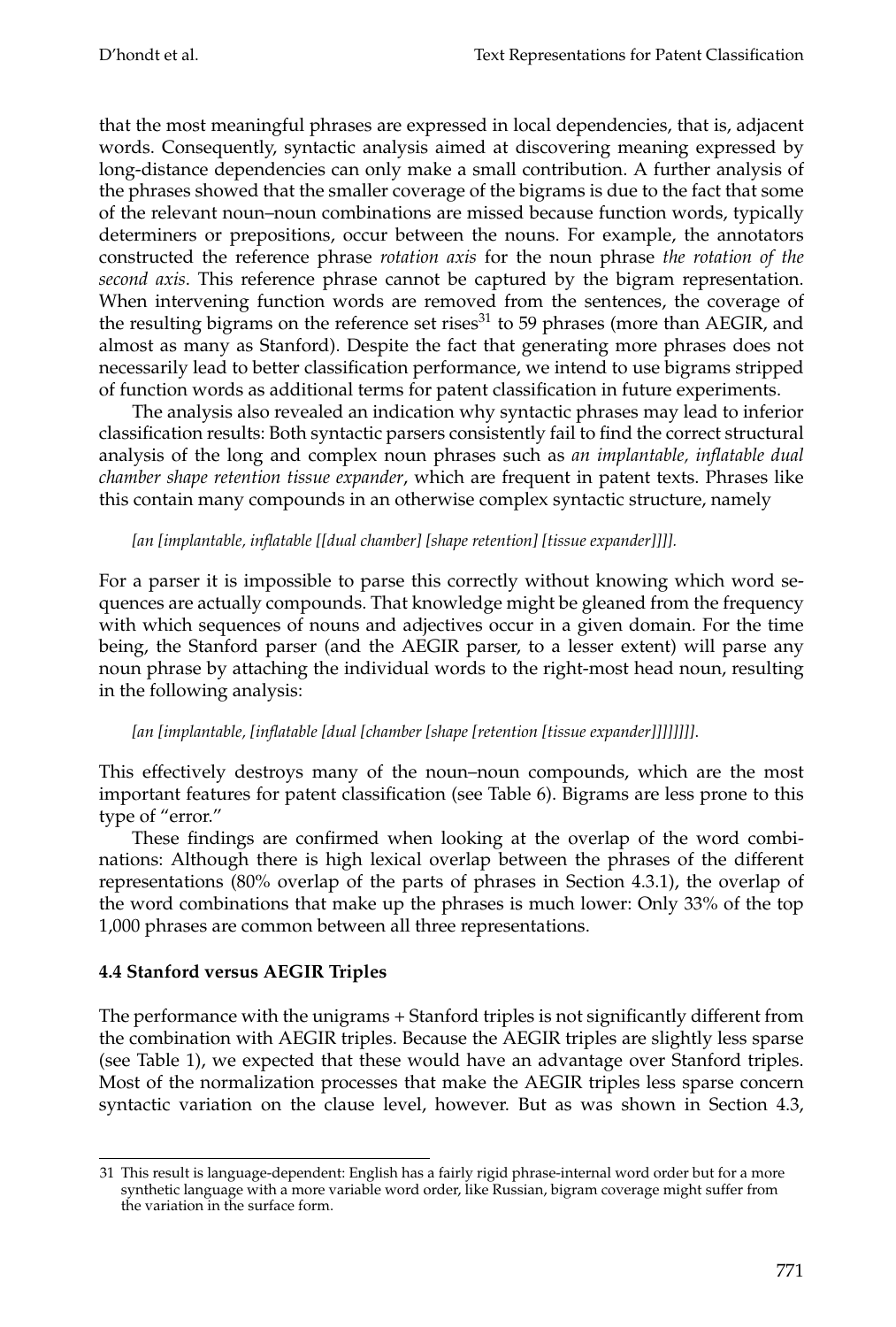that the most meaningful phrases are expressed in local dependencies, that is, adjacent words. Consequently, syntactic analysis aimed at discovering meaning expressed by long-distance dependencies can only make a small contribution. A further analysis of the phrases showed that the smaller coverage of the bigrams is due to the fact that some of the relevant noun–noun combinations are missed because function words, typically determiners or prepositions, occur between the nouns. For example, the annotators constructed the reference phrase *rotation axis* for the noun phrase *the rotation of the second axis*. This reference phrase cannot be captured by the bigram representation. When intervening function words are removed from the sentences, the coverage of the resulting bigrams on the reference set rises $^{31}$  to 59 phrases (more than AEGIR, and almost as many as Stanford). Despite the fact that generating more phrases does not necessarily lead to better classification performance, we intend to use bigrams stripped of function words as additional terms for patent classification in future experiments.

The analysis also revealed an indication why syntactic phrases may lead to inferior classification results: Both syntactic parsers consistently fail to find the correct structural analysis of the long and complex noun phrases such as *an implantable, inflatable dual chamber shape retention tissue expander*, which are frequent in patent texts. Phrases like this contain many compounds in an otherwise complex syntactic structure, namely

### *[an [implantable, inflatable [[dual chamber] [shape retention] [tissue expander]]]].*

For a parser it is impossible to parse this correctly without knowing which word sequences are actually compounds. That knowledge might be gleaned from the frequency with which sequences of nouns and adjectives occur in a given domain. For the time being, the Stanford parser (and the AEGIR parser, to a lesser extent) will parse any noun phrase by attaching the individual words to the right-most head noun, resulting in the following analysis:

### *[an [implantable, [inflatable [dual [chamber [shape [retention [tissue expander]]]]]]]]*.

This effectively destroys many of the noun–noun compounds, which are the most important features for patent classification (see Table 6). Bigrams are less prone to this type of "error."

These findings are confirmed when looking at the overlap of the word combinations: Although there is high lexical overlap between the phrases of the different representations (80% overlap of the parts of phrases in Section 4.3.1), the overlap of the word combinations that make up the phrases is much lower: Only 33% of the top 1,000 phrases are common between all three representations.

## **4.4 Stanford versus AEGIR Triples**

The performance with the unigrams + Stanford triples is not significantly different from the combination with AEGIR triples. Because the AEGIR triples are slightly less sparse (see Table 1), we expected that these would have an advantage over Stanford triples. Most of the normalization processes that make the AEGIR triples less sparse concern syntactic variation on the clause level, however. But as was shown in Section 4.3,

<sup>31</sup> This result is language-dependent: English has a fairly rigid phrase-internal word order but for a more synthetic language with a more variable word order, like Russian, bigram coverage might suffer from the variation in the surface form.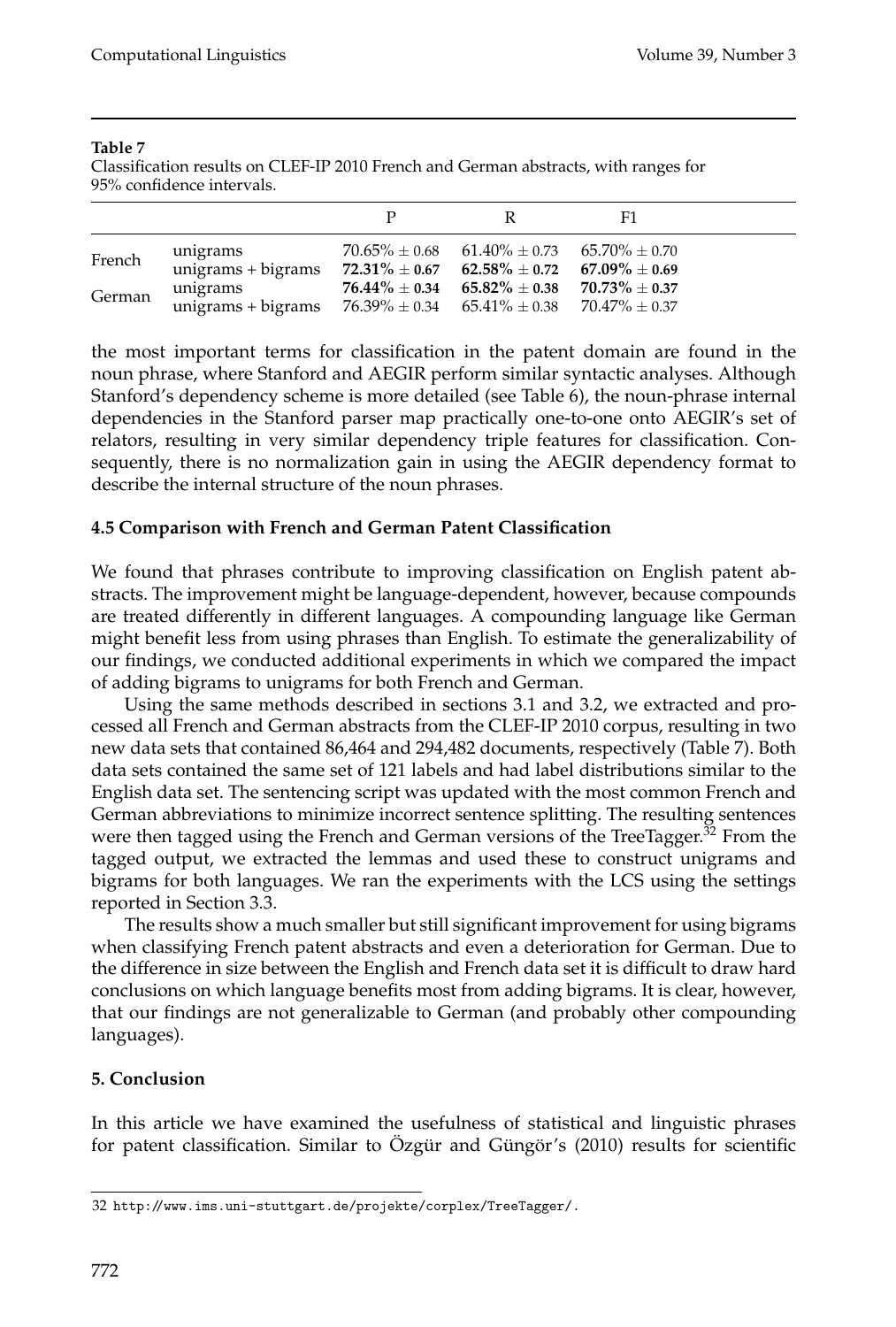Classification results on CLEF-IP 2010 French and German abstracts, with ranges for 95% confidence intervals.

|                  |                                                                  | к                                                                                                                                                                                                                                            | F1. |  |
|------------------|------------------------------------------------------------------|----------------------------------------------------------------------------------------------------------------------------------------------------------------------------------------------------------------------------------------------|-----|--|
| French<br>German | unigrams<br>unigrams + bigrams<br>unigrams<br>unigrams + bigrams | $70.65\% \pm 0.68$ $61.40\% \pm 0.73$ $65.70\% \pm 0.70$<br>$72.31\% \pm 0.67$ $62.58\% \pm 0.72$ $67.09\% \pm 0.69$<br>$76.44\% \pm 0.34$ $65.82\% \pm 0.38$ $70.73\% \pm 0.37$<br>$76.39\% \pm 0.34$ $65.41\% \pm 0.38$ $70.47\% \pm 0.37$ |     |  |

the most important terms for classification in the patent domain are found in the noun phrase, where Stanford and AEGIR perform similar syntactic analyses. Although Stanford's dependency scheme is more detailed (see Table 6), the noun-phrase internal dependencies in the Stanford parser map practically one-to-one onto AEGIR's set of relators, resulting in very similar dependency triple features for classification. Consequently, there is no normalization gain in using the AEGIR dependency format to describe the internal structure of the noun phrases.

### **4.5 Comparison with French and German Patent Classification**

We found that phrases contribute to improving classification on English patent abstracts. The improvement might be language-dependent, however, because compounds are treated differently in different languages. A compounding language like German might benefit less from using phrases than English. To estimate the generalizability of our findings, we conducted additional experiments in which we compared the impact of adding bigrams to unigrams for both French and German.

Using the same methods described in sections 3.1 and 3.2, we extracted and processed all French and German abstracts from the CLEF-IP 2010 corpus, resulting in two new data sets that contained 86,464 and 294,482 documents, respectively (Table 7). Both data sets contained the same set of 121 labels and had label distributions similar to the English data set. The sentencing script was updated with the most common French and German abbreviations to minimize incorrect sentence splitting. The resulting sentences were then tagged using the French and German versions of the TreeTagger.<sup>32</sup> From the tagged output, we extracted the lemmas and used these to construct unigrams and bigrams for both languages. We ran the experiments with the LCS using the settings reported in Section 3.3.

The results show a much smaller but still significant improvement for using bigrams when classifying French patent abstracts and even a deterioration for German. Due to the difference in size between the English and French data set it is difficult to draw hard conclusions on which language benefits most from adding bigrams. It is clear, however, that our findings are not generalizable to German (and probably other compounding languages).

## **5. Conclusion**

In this article we have examined the usefulness of statistical and linguistic phrases for patent classification. Similar to  $Oz$  gues and Gungor's (2010) results for scientific

<sup>32</sup> http://www.ims.uni-stuttgart.de/projekte/corplex/TreeTagger/.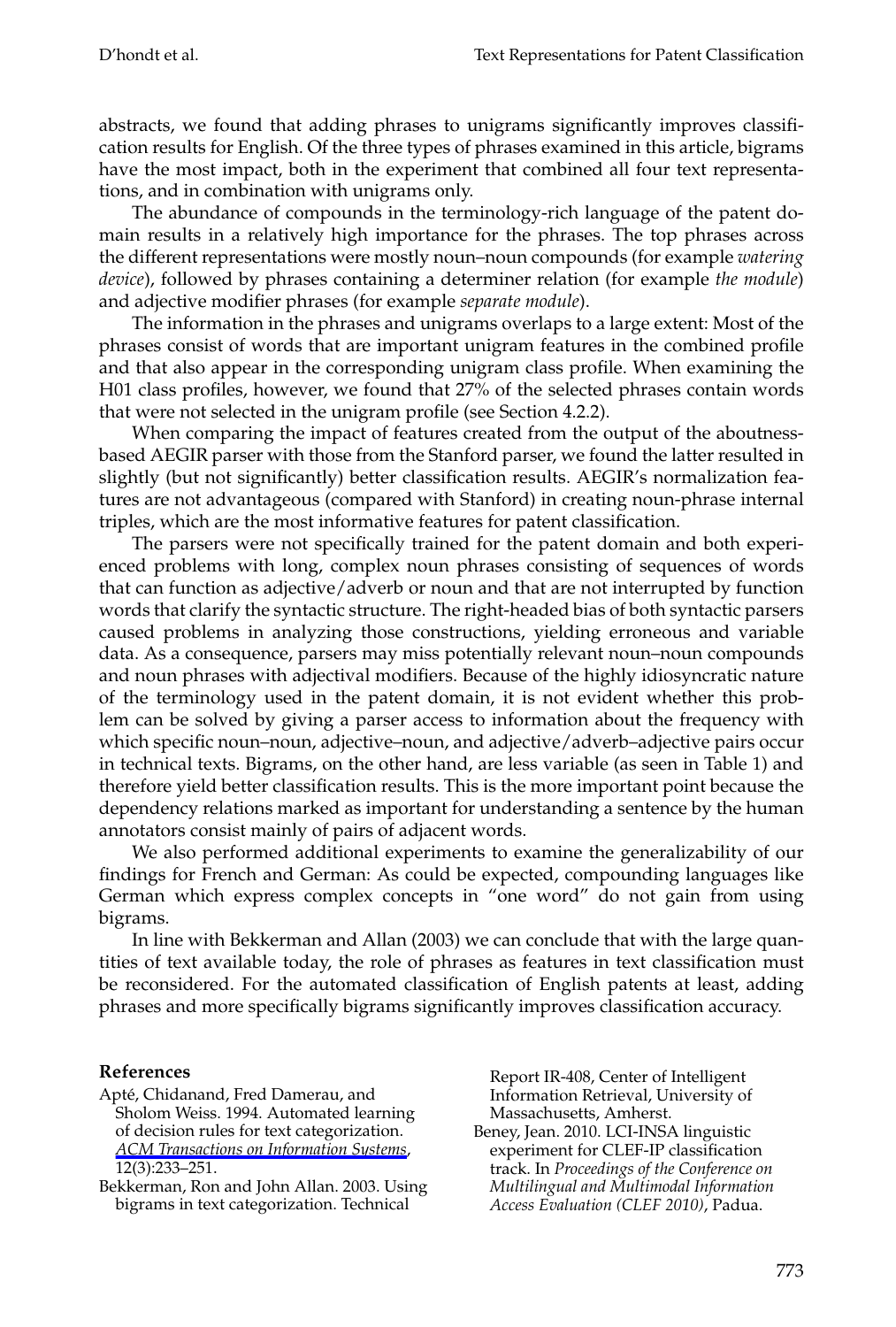abstracts, we found that adding phrases to unigrams significantly improves classification results for English. Of the three types of phrases examined in this article, bigrams have the most impact, both in the experiment that combined all four text representations, and in combination with unigrams only.

The abundance of compounds in the terminology-rich language of the patent domain results in a relatively high importance for the phrases. The top phrases across the different representations were mostly noun–noun compounds (for example *watering device*), followed by phrases containing a determiner relation (for example *the module*) and adjective modifier phrases (for example *separate module*).

The information in the phrases and unigrams overlaps to a large extent: Most of the phrases consist of words that are important unigram features in the combined profile and that also appear in the corresponding unigram class profile. When examining the H01 class profiles, however, we found that 27% of the selected phrases contain words that were not selected in the unigram profile (see Section 4.2.2).

When comparing the impact of features created from the output of the aboutnessbased AEGIR parser with those from the Stanford parser, we found the latter resulted in slightly (but not significantly) better classification results. AEGIR's normalization features are not advantageous (compared with Stanford) in creating noun-phrase internal triples, which are the most informative features for patent classification.

The parsers were not specifically trained for the patent domain and both experienced problems with long, complex noun phrases consisting of sequences of words that can function as adjective/adverb or noun and that are not interrupted by function words that clarify the syntactic structure. The right-headed bias of both syntactic parsers caused problems in analyzing those constructions, yielding erroneous and variable data. As a consequence, parsers may miss potentially relevant noun–noun compounds and noun phrases with adjectival modifiers. Because of the highly idiosyncratic nature of the terminology used in the patent domain, it is not evident whether this problem can be solved by giving a parser access to information about the frequency with which specific noun–noun, adjective–noun, and adjective/adverb–adjective pairs occur in technical texts. Bigrams, on the other hand, are less variable (as seen in Table 1) and therefore yield better classification results. This is the more important point because the dependency relations marked as important for understanding a sentence by the human annotators consist mainly of pairs of adjacent words.

We also performed additional experiments to examine the generalizability of our findings for French and German: As could be expected, compounding languages like German which express complex concepts in "one word" do not gain from using bigrams.

In line with Bekkerman and Allan (2003) we can conclude that with the large quantities of text available today, the role of phrases as features in text classification must be reconsidered. For the automated classification of English patents at least, adding phrases and more specifically bigrams significantly improves classification accuracy.

#### **References**

- Apté, Chidanand, Fred Damerau, and Sholom Weiss. 1994. Automated learning of decision rules for text categorization. *ACM Transactions on Information Systems*, 12(3):233–251.
- Bekkerman, Ron and John Allan. 2003. Using bigrams in text categorization. Technical

Report IR-408, Center of Intelligent Information Retrieval, University of Massachusetts, Amherst.

Beney, Jean. 2010. LCI-INSA linguistic experiment for CLEF-IP classification track. In *Proceedings of the Conference on Multilingual and Multimodal Information Access Evaluation (CLEF 2010)*, Padua.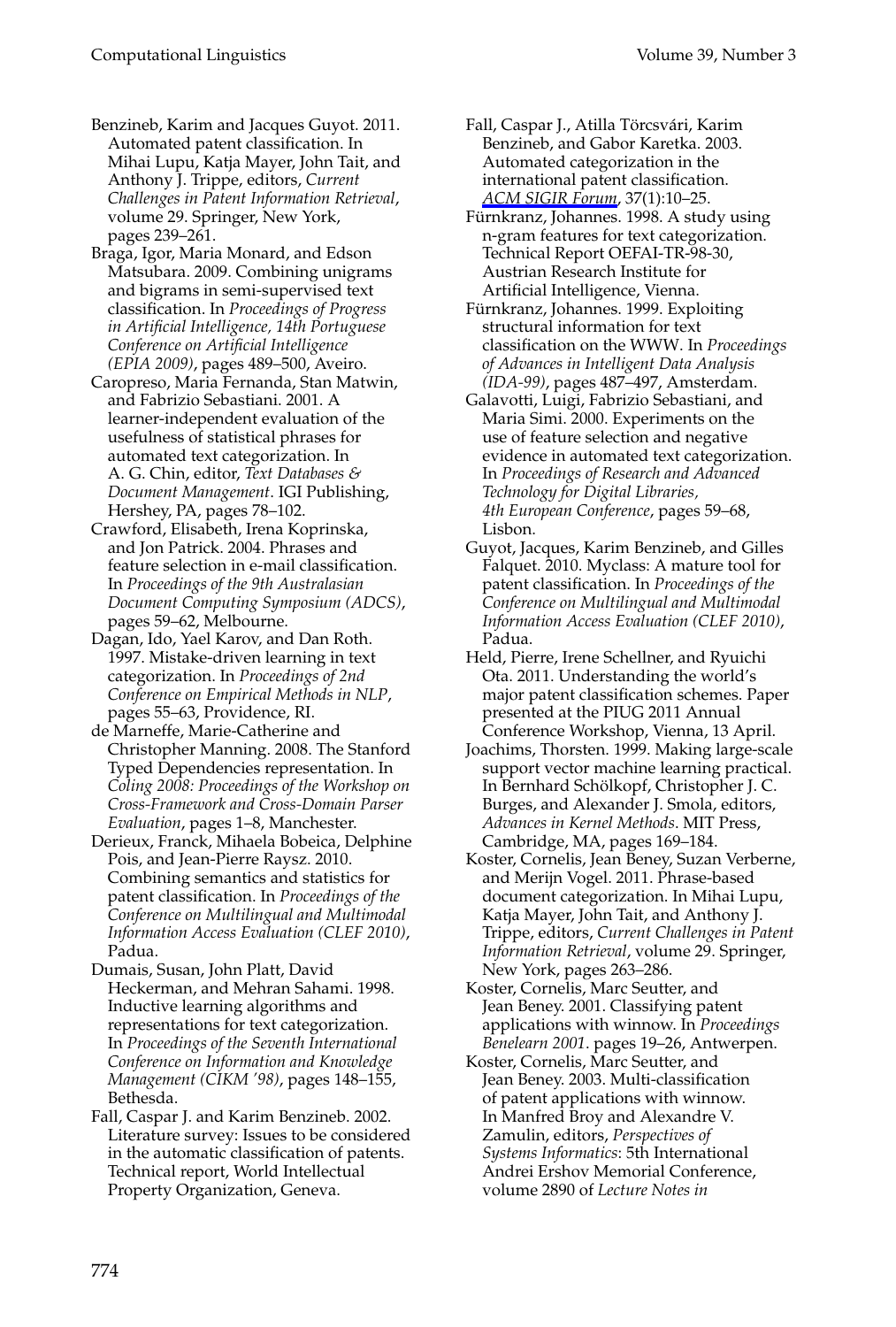#### Computational Linguistics Volume 39, Number 3

Benzineb, Karim and Jacques Guyot. 2011. Automated patent classification. In Mihai Lupu, Katja Mayer, John Tait, and Anthony J. Trippe, editors, *Current Challenges in Patent Information Retrieval*, volume 29. Springer, New York, pages 239–261.

Braga, Igor, Maria Monard, and Edson Matsubara. 2009. Combining unigrams and bigrams in semi-supervised text classification. In *Proceedings of Progress in Artificial Intelligence, 14th Portuguese Conference on Artificial Intelligence (EPIA 2009)*, pages 489–500, Aveiro.

- Caropreso, Maria Fernanda, Stan Matwin, and Fabrizio Sebastiani. 2001. A learner-independent evaluation of the usefulness of statistical phrases for automated text categorization. In A. G. Chin, editor, *Text Databases & Document Management*. IGI Publishing, Hershey, PA, pages 78–102.
- Crawford, Elisabeth, Irena Koprinska, and Jon Patrick. 2004. Phrases and feature selection in e-mail classification. In *Proceedings of the 9th Australasian Document Computing Symposium (ADCS)*, pages 59–62, Melbourne.
- Dagan, Ido, Yael Karov, and Dan Roth. 1997. Mistake-driven learning in text categorization. In *Proceedings of 2nd Conference on Empirical Methods in NLP*, pages 55–63, Providence, RI.
- de Marneffe, Marie-Catherine and Christopher Manning. 2008. The Stanford Typed Dependencies representation. In *Coling 2008: Proceedings of the Workshop on Cross-Framework and Cross-Domain Parser Evaluation*, pages 1–8, Manchester.
- Derieux, Franck, Mihaela Bobeica, Delphine Pois, and Jean-Pierre Raysz. 2010. Combining semantics and statistics for patent classification. In *Proceedings of the Conference on Multilingual and Multimodal Information Access Evaluation (CLEF 2010)*, Padua.
- Dumais, Susan, John Platt, David Heckerman, and Mehran Sahami. 1998. Inductive learning algorithms and representations for text categorization. In *Proceedings of the Seventh International Conference on Information and Knowledge Management (CIKM '98)*, pages 148–155, Bethesda.
- Fall, Caspar J. and Karim Benzineb. 2002. Literature survey: Issues to be considered in the automatic classification of patents. Technical report, World Intellectual Property Organization, Geneva.
- Fall, Caspar J., Atilla Törcsvári, Karim Benzineb, and Gabor Karetka. 2003. Automated categorization in the international patent classification. *ACM SIGIR Forum*, 37(1):10–25.
- Furnkranz, Johannes. 1998. A study using ¨ n-gram features for text categorization. Technical Report OEFAI-TR-98-30, Austrian Research Institute for Artificial Intelligence, Vienna.
- Fürnkranz, Johannes. 1999. Exploiting structural information for text classification on the WWW. In *Proceedings of Advances in Intelligent Data Analysis (IDA-99)*, pages 487–497, Amsterdam.
- Galavotti, Luigi, Fabrizio Sebastiani, and Maria Simi. 2000. Experiments on the use of feature selection and negative evidence in automated text categorization. In *Proceedings of Research and Advanced Technology for Digital Libraries, 4th European Conference*, pages 59–68, Lisbon.
- Guyot, Jacques, Karim Benzineb, and Gilles Falquet. 2010. Myclass: A mature tool for patent classification. In *Proceedings of the Conference on Multilingual and Multimodal Information Access Evaluation (CLEF 2010)*, Padua.
- Held, Pierre, Irene Schellner, and Ryuichi Ota. 2011. Understanding the world's major patent classification schemes. Paper presented at the PIUG 2011 Annual Conference Workshop, Vienna, 13 April.
- Joachims, Thorsten. 1999. Making large-scale support vector machine learning practical. In Bernhard Scholkopf, Christopher J. C. ¨ Burges, and Alexander J. Smola, editors, *Advances in Kernel Methods*. MIT Press, Cambridge, MA, pages 169–184.
- Koster, Cornelis, Jean Beney, Suzan Verberne, and Merijn Vogel. 2011. Phrase-based document categorization. In Mihai Lupu, Katja Mayer, John Tait, and Anthony J. Trippe, editors, *Current Challenges in Patent Information Retrieval*, volume 29. Springer, New York, pages 263–286.
- Koster, Cornelis, Marc Seutter, and Jean Beney. 2001. Classifying patent applications with winnow. In *Proceedings Benelearn 2001*. pages 19–26, Antwerpen.
- Koster, Cornelis, Marc Seutter, and Jean Beney. 2003. Multi-classification of patent applications with winnow. In Manfred Broy and Alexandre V. Zamulin, editors, *Perspectives of Systems Informatics*: 5th International Andrei Ershov Memorial Conference, volume 2890 of *Lecture Notes in*